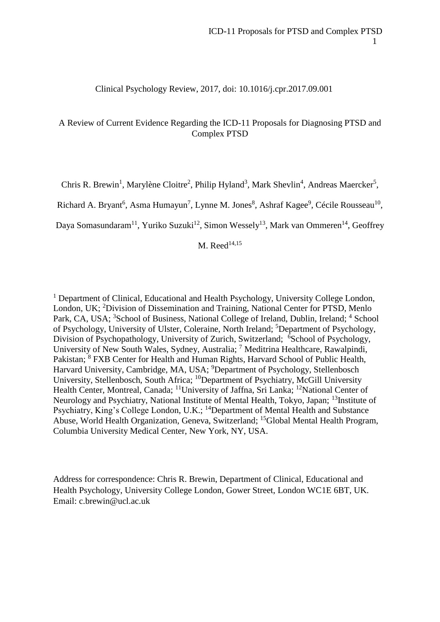# Clinical Psychology Review, 2017, doi: 10.1016/j.cpr.2017.09.001

# A Review of Current Evidence Regarding the ICD-11 Proposals for Diagnosing PTSD and Complex PTSD

Chris R. Brewin<sup>1</sup>, Marylène Cloitre<sup>2</sup>, Philip Hyland<sup>3</sup>, Mark Shevlin<sup>4</sup>, Andreas Maercker<sup>5</sup>,

Richard A. Bryant<sup>6</sup>, Asma Humayun<sup>7</sup>, Lynne M. Jones<sup>8</sup>, Ashraf Kagee<sup>9</sup>, Cécile Rousseau<sup>10</sup>,

Daya Somasundaram<sup>11</sup>, Yuriko Suzuki<sup>12</sup>, Simon Wessely<sup>13</sup>, Mark van Ommeren<sup>14</sup>, Geoffrey

M. Reed $^{14,15}$ 

<sup>1</sup> Department of Clinical, Educational and Health Psychology, University College London, London, UK; <sup>2</sup>Division of Dissemination and Training, National Center for PTSD, Menlo Park, CA, USA; <sup>3</sup>School of Business, National College of Ireland, Dublin, Ireland; <sup>4</sup> School of Psychology, University of Ulster, Coleraine, North Ireland; <sup>5</sup>Department of Psychology, Division of Psychopathology, University of Zurich, Switzerland; <sup>6</sup>School of Psychology, University of New South Wales, Sydney, Australia; <sup>7</sup> Meditrina Healthcare, Rawalpindi, Pakistan; <sup>8</sup> FXB Center for Health and Human Rights, Harvard School of Public Health, Harvard University, Cambridge, MA, USA; <sup>9</sup>Department of Psychology, Stellenbosch University, Stellenbosch, South Africa; <sup>10</sup>Department of Psychiatry, McGill University Health Center, Montreal, Canada; <sup>11</sup>University of Jaffna, Sri Lanka; <sup>12</sup>National Center of Neurology and Psychiatry, National Institute of Mental Health, Tokyo, Japan; <sup>13</sup>Institute of Psychiatry, King's College London, U.K.; <sup>14</sup>Department of Mental Health and Substance Abuse, World Health Organization, Geneva, Switzerland; <sup>15</sup>Global Mental Health Program, Columbia University Medical Center, New York, NY, USA.

Address for correspondence: Chris R. Brewin, Department of Clinical, Educational and Health Psychology, University College London, Gower Street, London WC1E 6BT, UK. Email: c.brewin@ucl.ac.uk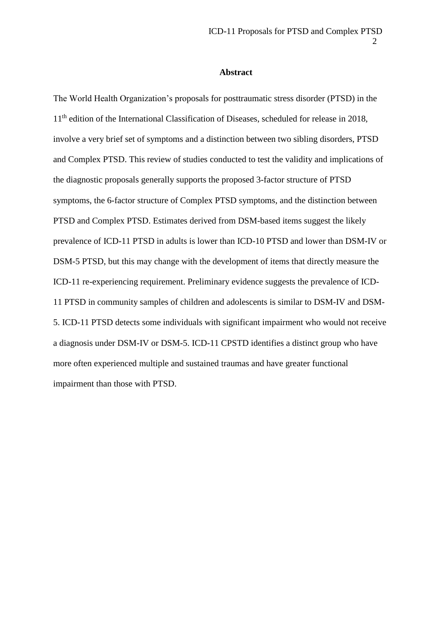#### **Abstract**

The World Health Organization's proposals for posttraumatic stress disorder (PTSD) in the 11<sup>th</sup> edition of the International Classification of Diseases, scheduled for release in 2018, involve a very brief set of symptoms and a distinction between two sibling disorders, PTSD and Complex PTSD. This review of studies conducted to test the validity and implications of the diagnostic proposals generally supports the proposed 3-factor structure of PTSD symptoms, the 6-factor structure of Complex PTSD symptoms, and the distinction between PTSD and Complex PTSD. Estimates derived from DSM-based items suggest the likely prevalence of ICD-11 PTSD in adults is lower than ICD-10 PTSD and lower than DSM-IV or DSM-5 PTSD, but this may change with the development of items that directly measure the ICD-11 re-experiencing requirement. Preliminary evidence suggests the prevalence of ICD-11 PTSD in community samples of children and adolescents is similar to DSM-IV and DSM-5. ICD-11 PTSD detects some individuals with significant impairment who would not receive a diagnosis under DSM-IV or DSM-5. ICD-11 CPSTD identifies a distinct group who have more often experienced multiple and sustained traumas and have greater functional impairment than those with PTSD.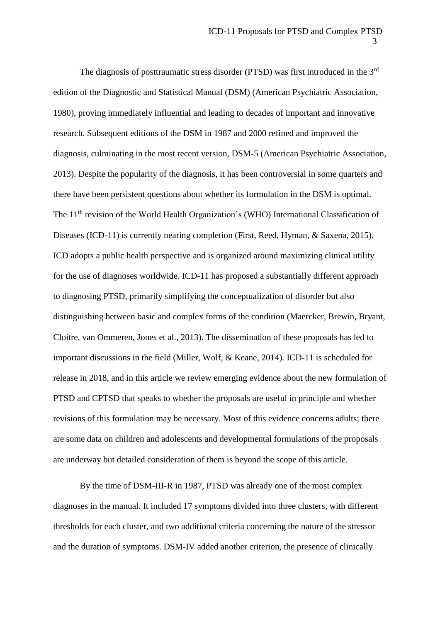The diagnosis of posttraumatic stress disorder (PTSD) was first introduced in the 3<sup>rd</sup> edition of the Diagnostic and Statistical Manual (DSM) [\(American Psychiatric Association,](#page-34-0)  [1980\)](#page-34-0), proving immediately influential and leading to decades of important and innovative research. Subsequent editions of the DSM in 1987 and 2000 refined and improved the diagnosis, culminating in the most recent version, DSM-5 [\(American Psychiatric Association,](#page-34-1)  [2013\)](#page-34-1). Despite the popularity of the diagnosis, it has been controversial in some quarters and there have been persistent questions about whether its formulation in the DSM is optimal. The 11<sup>th</sup> revision of the World Health Organization's (WHO) International Classification of Diseases (ICD-11) is currently nearing completion [\(First, Reed, Hyman, & Saxena, 2015\)](#page-38-0). ICD adopts a public health perspective and is organized around maximizing clinical utility for the use of diagnoses worldwide. ICD-11 has proposed a substantially different approach to diagnosing PTSD, primarily simplifying the conceptualization of disorder but also distinguishing between basic and complex forms of the condition [\(Maercker, Brewin, Bryant,](#page-43-0)  [Cloitre, van Ommeren, Jones et al., 2013\)](#page-43-0). The dissemination of these proposals has led to important discussions in the field [\(Miller, Wolf, & Keane, 2014\)](#page-43-1). ICD-11 is scheduled for release in 2018, and in this article we review emerging evidence about the new formulation of PTSD and CPTSD that speaks to whether the proposals are useful in principle and whether revisions of this formulation may be necessary. Most of this evidence concerns adults; there are some data on children and adolescents and developmental formulations of the proposals are underway but detailed consideration of them is beyond the scope of this article.

By the time of DSM-III-R in 1987, PTSD was already one of the most complex diagnoses in the manual. It included 17 symptoms divided into three clusters, with different thresholds for each cluster, and two additional criteria concerning the nature of the stressor and the duration of symptoms. DSM-IV added another criterion, the presence of clinically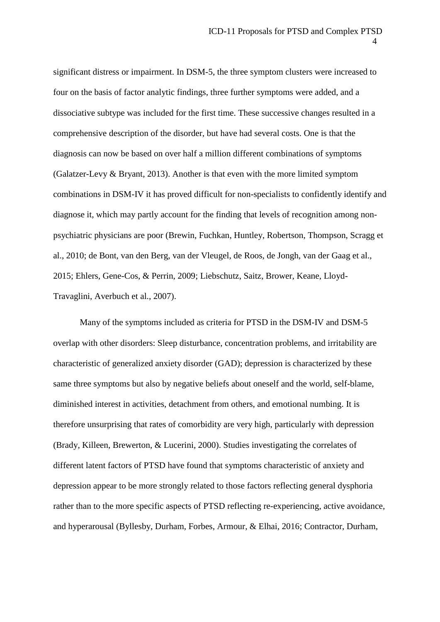significant distress or impairment. In DSM-5, the three symptom clusters were increased to four on the basis of factor analytic findings, three further symptoms were added, and a dissociative subtype was included for the first time. These successive changes resulted in a comprehensive description of the disorder, but have had several costs. One is that the diagnosis can now be based on over half a million different combinations of symptoms [\(Galatzer-Levy & Bryant, 2013\)](#page-38-1). Another is that even with the more limited symptom combinations in DSM-IV it has proved difficult for non-specialists to confidently identify and diagnose it, which may partly account for the finding that levels of recognition among nonpsychiatric physicians are poor [\(Brewin, Fuchkan, Huntley, Robertson, Thompson, Scragg et](#page-35-0)  [al., 2010;](#page-35-0) [de Bont, van den Berg, van der Vleugel, de Roos, de Jongh, van der Gaag et al.,](#page-37-0)  [2015;](#page-37-0) [Ehlers, Gene-Cos, & Perrin, 2009;](#page-37-1) [Liebschutz, Saitz, Brower, Keane, Lloyd-](#page-43-2)[Travaglini, Averbuch et al., 2007\)](#page-43-2).

Many of the symptoms included as criteria for PTSD in the DSM-IV and DSM-5 overlap with other disorders: Sleep disturbance, concentration problems, and irritability are characteristic of generalized anxiety disorder (GAD); depression is characterized by these same three symptoms but also by negative beliefs about oneself and the world, self-blame, diminished interest in activities, detachment from others, and emotional numbing. It is therefore unsurprising that rates of comorbidity are very high, particularly with depression [\(Brady, Killeen, Brewerton, & Lucerini, 2000\)](#page-34-2). Studies investigating the correlates of different latent factors of PTSD have found that symptoms characteristic of anxiety and depression appear to be more strongly related to those factors reflecting general dysphoria rather than to the more specific aspects of PTSD reflecting re-experiencing, active avoidance, and hyperarousal [\(Byllesby, Durham, Forbes, Armour, & Elhai, 2016;](#page-36-0) [Contractor, Durham,](#page-36-1)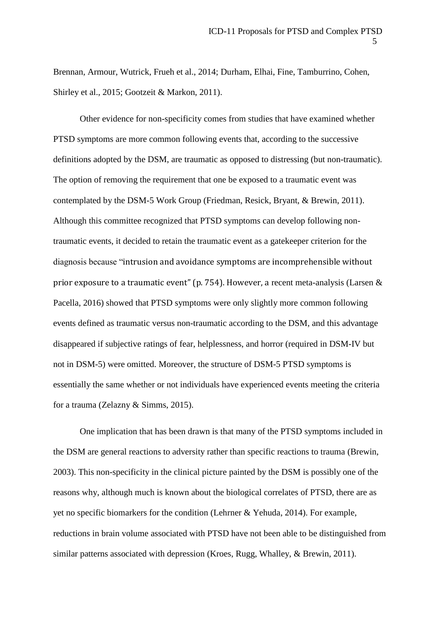Brennan, [Armour, Wutrick, Frueh et al., 2014;](#page-36-1) [Durham, Elhai, Fine, Tamburrino, Cohen,](#page-37-2)  [Shirley et al., 2015;](#page-37-2) [Gootzeit & Markon, 2011\)](#page-39-0).

Other evidence for non-specificity comes from studies that have examined whether PTSD symptoms are more common following events that, according to the successive definitions adopted by the DSM, are traumatic as opposed to distressing (but non-traumatic). The option of removing the requirement that one be exposed to a traumatic event was contemplated by the DSM-5 Work Group [\(Friedman, Resick, Bryant, & Brewin, 2011\)](#page-38-2). Although this committee recognized that PTSD symptoms can develop following nontraumatic events, it decided to retain the traumatic event as a gatekeeper criterion for the diagnosis because "intrusion and avoidance symptoms are incomprehensible without prior exposure to a traumatic event" (p. 754). However, a recent meta-analysis [\(Larsen &](#page-42-0)  [Pacella, 2016\)](#page-42-0) showed that PTSD symptoms were only slightly more common following events defined as traumatic versus non-traumatic according to the DSM, and this advantage disappeared if subjective ratings of fear, helplessness, and horror (required in DSM-IV but not in DSM-5) were omitted. Moreover, the structure of DSM-5 PTSD symptoms is essentially the same whether or not individuals have experienced events meeting the criteria for a trauma [\(Zelazny & Simms, 2015\)](#page-48-0).

One implication that has been drawn is that many of the PTSD symptoms included in the DSM are general reactions to adversity rather than specific reactions to trauma [\(Brewin,](#page-34-3)  [2003\)](#page-34-3). This non-specificity in the clinical picture painted by the DSM is possibly one of the reasons why, although much is known about the biological correlates of PTSD, there are as yet no specific biomarkers for the condition [\(Lehrner & Yehuda, 2014\)](#page-42-1). For example, reductions in brain volume associated with PTSD have not been able to be distinguished from similar patterns associated with depression [\(Kroes, Rugg, Whalley, & Brewin, 2011\)](#page-42-2).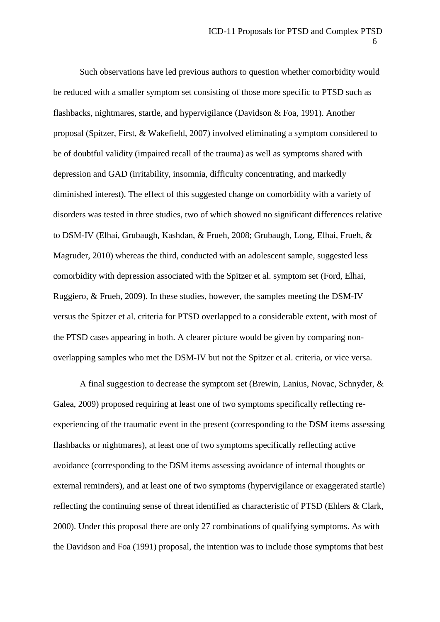Such observations have led previous authors to question whether comorbidity would be reduced with a smaller symptom set consisting of those more specific to PTSD such as flashbacks, nightmares, startle, and hypervigilance [\(Davidson & Foa, 1991\)](#page-37-3). Another proposal [\(Spitzer, First, & Wakefield, 2007\)](#page-46-0) involved eliminating a symptom considered to be of doubtful validity (impaired recall of the trauma) as well as symptoms shared with depression and GAD (irritability, insomnia, difficulty concentrating, and markedly diminished interest). The effect of this suggested change on comorbidity with a variety of disorders was tested in three studies, two of which showed no significant differences relative to DSM-IV [\(Elhai, Grubaugh, Kashdan, & Frueh, 2008;](#page-37-4) [Grubaugh, Long, Elhai, Frueh, &](#page-39-1)  [Magruder, 2010\)](#page-39-1) whereas the third, conducted with an adolescent sample, suggested less comorbidity with depression associated with the Spitzer et al. symptom set [\(Ford, Elhai,](#page-38-3)  [Ruggiero, & Frueh, 2009\)](#page-38-3). In these studies, however, the samples meeting the DSM-IV versus the Spitzer et al. criteria for PTSD overlapped to a considerable extent, with most of the PTSD cases appearing in both. A clearer picture would be given by comparing nonoverlapping samples who met the DSM-IV but not the Spitzer et al. criteria, or vice versa.

A final suggestion to decrease the symptom set [\(Brewin, Lanius, Novac, Schnyder, &](#page-35-1)  [Galea, 2009\)](#page-35-1) proposed requiring at least one of two symptoms specifically reflecting reexperiencing of the traumatic event in the present (corresponding to the DSM items assessing flashbacks or nightmares), at least one of two symptoms specifically reflecting active avoidance (corresponding to the DSM items assessing avoidance of internal thoughts or external reminders), and at least one of two symptoms (hypervigilance or exaggerated startle) reflecting the continuing sense of threat identified as characteristic of PTSD [\(Ehlers & Clark,](#page-37-5)  [2000\)](#page-37-5). Under this proposal there are only 27 combinations of qualifying symptoms. As with the Davidson and Foa (1991) proposal, the intention was to include those symptoms that best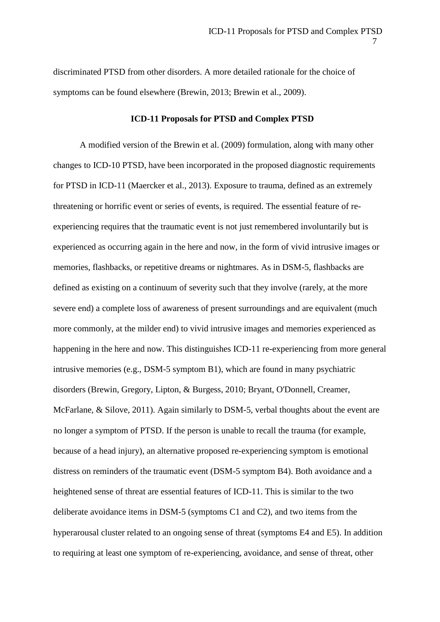discriminated PTSD from other disorders. A more detailed rationale for the choice of symptoms can be found elsewhere [\(Brewin, 2013;](#page-35-2) [Brewin et al., 2009\)](#page-35-1).

# **ICD-11 Proposals for PTSD and Complex PTSD**

A modified version of the Brewin et al. (2009) formulation, along with many other changes to ICD-10 PTSD, have been incorporated in the proposed diagnostic requirements for PTSD in ICD-11 [\(Maercker et al., 2013\)](#page-43-0). Exposure to trauma, defined as an extremely threatening or horrific event or series of events, is required. The essential feature of reexperiencing requires that the traumatic event is not just remembered involuntarily but is experienced as occurring again in the here and now, in the form of vivid intrusive images or memories, flashbacks, or repetitive dreams or nightmares. As in DSM-5, flashbacks are defined as existing on a continuum of severity such that they involve (rarely, at the more severe end) a complete loss of awareness of present surroundings and are equivalent (much more commonly, at the milder end) to vivid intrusive images and memories experienced as happening in the here and now. This distinguishes ICD-11 re-experiencing from more general intrusive memories (e.g., DSM-5 symptom B1), which are found in many psychiatric disorders [\(Brewin, Gregory, Lipton, & Burgess, 2010;](#page-35-3) [Bryant, O'Donnell, Creamer,](#page-36-2)  [McFarlane, & Silove, 2011\)](#page-36-2). Again similarly to DSM-5, verbal thoughts about the event are no longer a symptom of PTSD. If the person is unable to recall the trauma (for example, because of a head injury), an alternative proposed re-experiencing symptom is emotional distress on reminders of the traumatic event (DSM-5 symptom B4). Both avoidance and a heightened sense of threat are essential features of ICD-11. This is similar to the two deliberate avoidance items in DSM-5 (symptoms C1 and C2), and two items from the hyperarousal cluster related to an ongoing sense of threat (symptoms E4 and E5). In addition to requiring at least one symptom of re-experiencing, avoidance, and sense of threat, other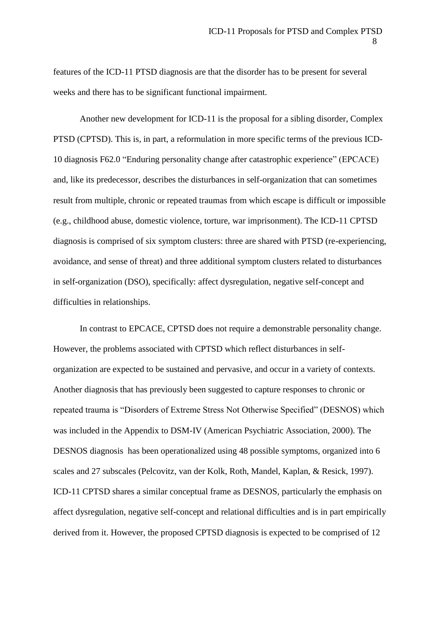features of the ICD-11 PTSD diagnosis are that the disorder has to be present for several weeks and there has to be significant functional impairment.

Another new development for ICD-11 is the proposal for a sibling disorder, Complex PTSD (CPTSD). This is, in part, a reformulation in more specific terms of the previous ICD-10 diagnosis F62.0 "Enduring personality change after catastrophic experience" (EPCACE) and, like its predecessor, describes the disturbances in self-organization that can sometimes result from multiple, chronic or repeated traumas from which escape is difficult or impossible (e.g., childhood abuse, domestic violence, torture, war imprisonment). The ICD-11 CPTSD diagnosis is comprised of six symptom clusters: three are shared with PTSD (re-experiencing, avoidance, and sense of threat) and three additional symptom clusters related to disturbances in self-organization (DSO), specifically: affect dysregulation, negative self-concept and difficulties in relationships.

In contrast to EPCACE, CPTSD does not require a demonstrable personality change. However, the problems associated with CPTSD which reflect disturbances in selforganization are expected to be sustained and pervasive, and occur in a variety of contexts. Another diagnosis that has previously been suggested to capture responses to chronic or repeated trauma is "Disorders of Extreme Stress Not Otherwise Specified" (DESNOS) which was included in the Appendix to DSM-IV [\(American Psychiatric Association, 2000\)](#page-34-4). The DESNOS diagnosis has been operationalized using 48 possible symptoms, organized into 6 scales and 27 subscales [\(Pelcovitz, van der Kolk, Roth, Mandel, Kaplan, & Resick, 1997\)](#page-44-0). ICD-11 CPTSD shares a similar conceptual frame as DESNOS, particularly the emphasis on affect dysregulation, negative self-concept and relational difficulties and is in part empirically derived from it. However, the proposed CPTSD diagnosis is expected to be comprised of 12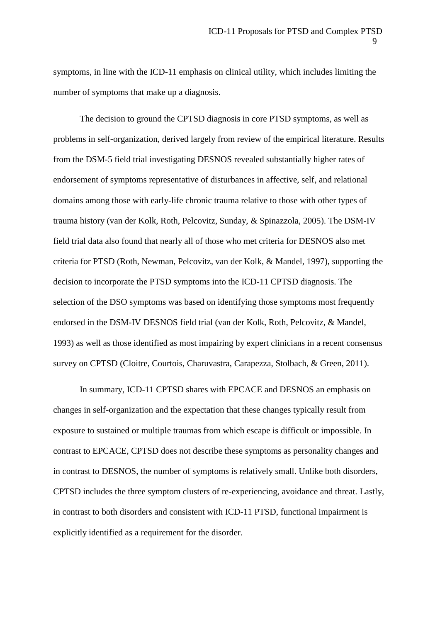symptoms, in line with the ICD-11 emphasis on clinical utility, which includes limiting the number of symptoms that make up a diagnosis.

The decision to ground the CPTSD diagnosis in core PTSD symptoms, as well as problems in self-organization, derived largely from review of the empirical literature. Results from the DSM-5 field trial investigating DESNOS revealed substantially higher rates of endorsement of symptoms representative of disturbances in affective, self, and relational domains among those with early-life chronic trauma relative to those with other types of trauma history [\(van der Kolk, Roth, Pelcovitz, Sunday, & Spinazzola, 2005\)](#page-47-0). The DSM-IV field trial data also found that nearly all of those who met criteria for DESNOS also met criteria for PTSD [\(Roth, Newman, Pelcovitz, van der Kolk, & Mandel, 1997\)](#page-45-0), supporting the decision to incorporate the PTSD symptoms into the ICD-11 CPTSD diagnosis. The selection of the DSO symptoms was based on identifying those symptoms most frequently endorsed in the DSM-IV DESNOS field trial [\(van der Kolk, Roth, Pelcovitz, & Mandel,](#page-46-1)  [1993\)](#page-46-1) as well as those identified as most impairing by expert clinicians in a recent consensus survey on CPTSD [\(Cloitre, Courtois, Charuvastra, Carapezza, Stolbach, & Green, 2011\)](#page-36-3).

In summary, ICD-11 CPTSD shares with EPCACE and DESNOS an emphasis on changes in self-organization and the expectation that these changes typically result from exposure to sustained or multiple traumas from which escape is difficult or impossible. In contrast to EPCACE, CPTSD does not describe these symptoms as personality changes and in contrast to DESNOS, the number of symptoms is relatively small. Unlike both disorders, CPTSD includes the three symptom clusters of re-experiencing, avoidance and threat. Lastly, in contrast to both disorders and consistent with ICD-11 PTSD, functional impairment is explicitly identified as a requirement for the disorder.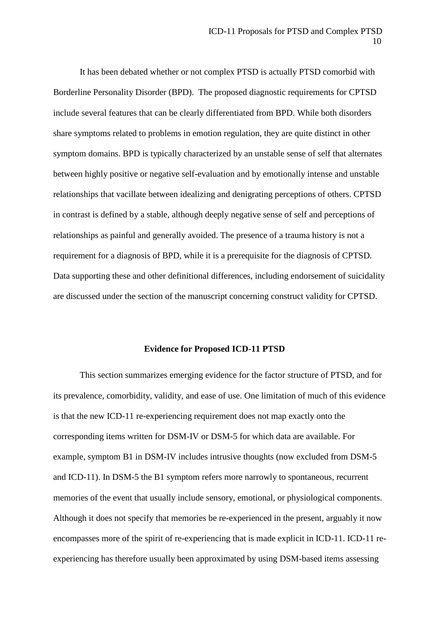It has been debated whether or not complex PTSD is actually PTSD comorbid with Borderline Personality Disorder (BPD). The proposed diagnostic requirements for CPTSD include several features that can be clearly differentiated from BPD. While both disorders share symptoms related to problems in emotion regulation, they are quite distinct in other symptom domains. BPD is typically characterized by an unstable sense of self that alternates between highly positive or negative self-evaluation and by emotionally intense and unstable relationships that vacillate between idealizing and denigrating perceptions of others. CPTSD in contrast is defined by a stable, although deeply negative sense of self and perceptions of relationships as painful and generally avoided. The presence of a trauma history is not a requirement for a diagnosis of BPD, while it is a prerequisite for the diagnosis of CPTSD. Data supporting these and other definitional differences, including endorsement of suicidality are discussed under the section of the manuscript concerning construct validity for CPTSD.

# **Evidence for Proposed ICD-11 PTSD**

This section summarizes emerging evidence for the factor structure of PTSD, and for its prevalence, comorbidity, validity, and ease of use. One limitation of much of this evidence is that the new ICD-11 re-experiencing requirement does not map exactly onto the corresponding items written for DSM-IV or DSM-5 for which data are available. For example, symptom B1 in DSM-IV includes intrusive thoughts (now excluded from DSM-5 and ICD-11). In DSM-5 the B1 symptom refers more narrowly to spontaneous, recurrent memories of the event that usually include sensory, emotional, or physiological components. Although it does not specify that memories be re-experienced in the present, arguably it now encompasses more of the spirit of re-experiencing that is made explicit in ICD-11. ICD-11 reexperiencing has therefore usually been approximated by using DSM-based items assessing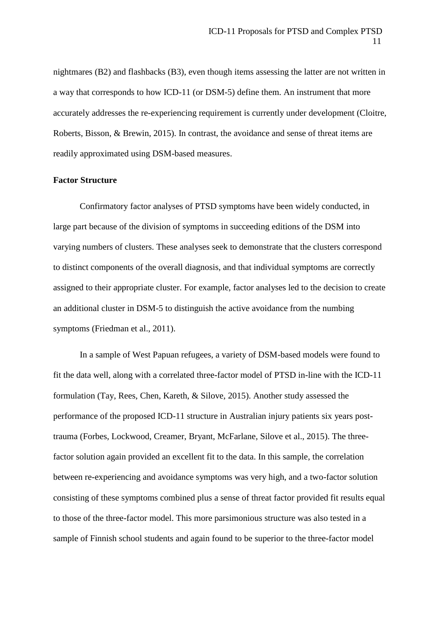nightmares (B2) and flashbacks (B3), even though items assessing the latter are not written in a way that corresponds to how ICD-11 (or DSM-5) define them. An instrument that more accurately addresses the re-experiencing requirement is currently under development [\(Cloitre,](#page-36-4)  [Roberts, Bisson, & Brewin, 2015\)](#page-36-4). In contrast, the avoidance and sense of threat items are readily approximated using DSM-based measures.

## **Factor Structure**

Confirmatory factor analyses of PTSD symptoms have been widely conducted, in large part because of the division of symptoms in succeeding editions of the DSM into varying numbers of clusters. These analyses seek to demonstrate that the clusters correspond to distinct components of the overall diagnosis, and that individual symptoms are correctly assigned to their appropriate cluster. For example, factor analyses led to the decision to create an additional cluster in DSM-5 to distinguish the active avoidance from the numbing symptoms [\(Friedman et al., 2011\)](#page-38-2).

In a sample of West Papuan refugees, a variety of DSM-based models were found to fit the data well, along with a correlated three-factor model of PTSD in-line with the ICD-11 formulation [\(Tay, Rees, Chen, Kareth, & Silove, 2015\)](#page-46-2). Another study assessed the performance of the proposed ICD-11 structure in Australian injury patients six years posttrauma [\(Forbes, Lockwood, Creamer, Bryant, McFarlane, Silove et al., 2015\)](#page-38-4). The threefactor solution again provided an excellent fit to the data. In this sample, the correlation between re-experiencing and avoidance symptoms was very high, and a two-factor solution consisting of these symptoms combined plus a sense of threat factor provided fit results equal to those of the three-factor model. This more parsimonious structure was also tested in a sample of Finnish school students and again found to be superior to the three-factor model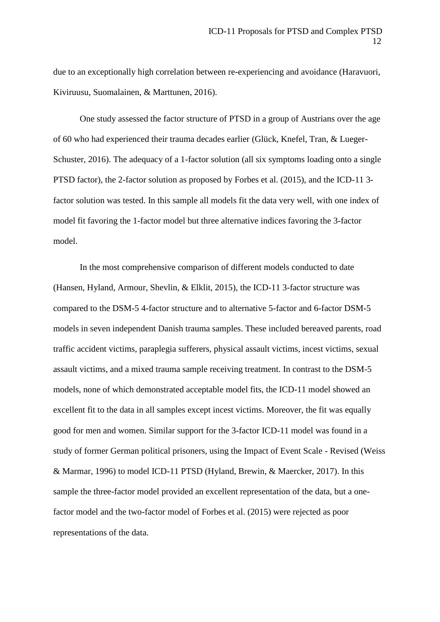due to an exceptionally high correlation between re-experiencing and avoidance [\(Haravuori,](#page-39-2)  [Kiviruusu, Suomalainen, & Marttunen, 2016\)](#page-39-2).

One study assessed the factor structure of PTSD in a group of Austrians over the age of 60 who had experienced their trauma decades earlier [\(Glück, Knefel, Tran, & Lueger-](#page-39-3)[Schuster, 2016\)](#page-39-3). The adequacy of a 1-factor solution (all six symptoms loading onto a single PTSD factor), the 2-factor solution as proposed by Forbes et al. (2015), and the ICD-11 3 factor solution was tested. In this sample all models fit the data very well, with one index of model fit favoring the 1-factor model but three alternative indices favoring the 3-factor model.

In the most comprehensive comparison of different models conducted to date [\(Hansen, Hyland, Armour, Shevlin, & Elklit, 2015\)](#page-39-4), the ICD-11 3-factor structure was compared to the DSM-5 4-factor structure and to alternative 5-factor and 6-factor DSM-5 models in seven independent Danish trauma samples. These included bereaved parents, road traffic accident victims, paraplegia sufferers, physical assault victims, incest victims, sexual assault victims, and a mixed trauma sample receiving treatment. In contrast to the DSM-5 models, none of which demonstrated acceptable model fits, the ICD-11 model showed an excellent fit to the data in all samples except incest victims. Moreover, the fit was equally good for men and women. Similar support for the 3-factor ICD-11 model was found in a study of former German political prisoners, using the Impact of Event Scale - Revised [\(Weiss](#page-47-1) [& Marmar, 1996\)](#page-47-1) to model ICD-11 PTSD [\(Hyland, Brewin, & Maercker, 2017\)](#page-40-0). In this sample the three-factor model provided an excellent representation of the data, but a onefactor model and the two-factor model of Forbes et al. (2015) were rejected as poor representations of the data.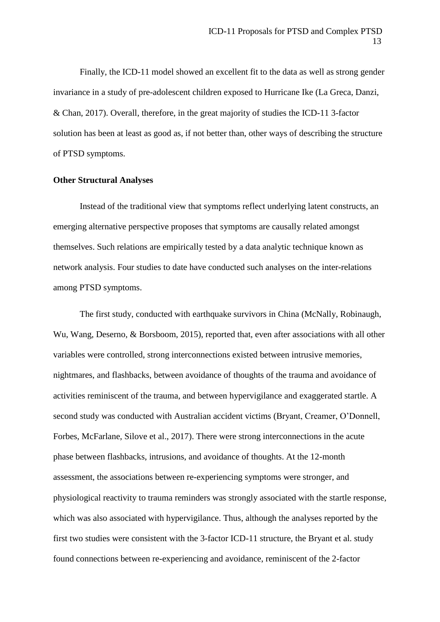Finally, the ICD-11 model showed an excellent fit to the data as well as strong gender invariance in a study of pre-adolescent children exposed to Hurricane Ike [\(La Greca, Danzi,](#page-42-3)  [& Chan, 2017\)](#page-42-3). Overall, therefore, in the great majority of studies the ICD-11 3-factor solution has been at least as good as, if not better than, other ways of describing the structure of PTSD symptoms.

### **Other Structural Analyses**

Instead of the traditional view that symptoms reflect underlying latent constructs, an emerging alternative perspective proposes that symptoms are causally related amongst themselves. Such relations are empirically tested by a data analytic technique known as network analysis. Four studies to date have conducted such analyses on the inter-relations among PTSD symptoms.

The first study, conducted with earthquake survivors in China [\(McNally, Robinaugh,](#page-43-3)  [Wu, Wang, Deserno, &](#page-43-3) Borsboom, 2015), reported that, even after associations with all other variables were controlled, strong interconnections existed between intrusive memories, nightmares, and flashbacks, between avoidance of thoughts of the trauma and avoidance of activities reminiscent of the trauma, and between hypervigilance and exaggerated startle. A second study was conducted with Australian accident victims [\(Bryant, Creamer, O'Donnell,](#page-35-4)  [Forbes, McFarlane, Silove et al., 2017\)](#page-35-4). There were strong interconnections in the acute phase between flashbacks, intrusions, and avoidance of thoughts. At the 12-month assessment, the associations between re-experiencing symptoms were stronger, and physiological reactivity to trauma reminders was strongly associated with the startle response, which was also associated with hypervigilance. Thus, although the analyses reported by the first two studies were consistent with the 3-factor ICD-11 structure, the Bryant et al. study found connections between re-experiencing and avoidance, reminiscent of the 2-factor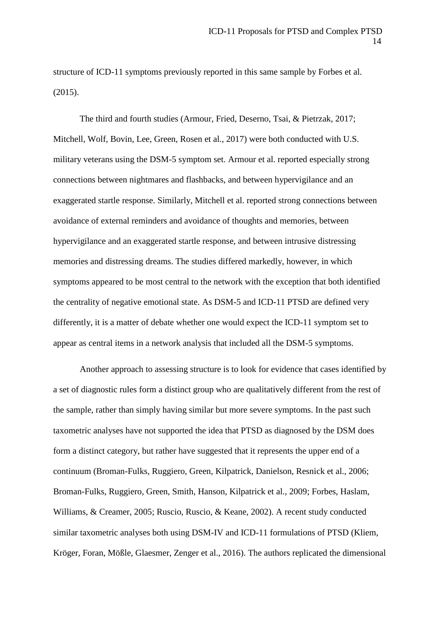structure of ICD-11 symptoms previously reported in this same sample by Forbes et al. (2015).

The third and fourth studies [\(Armour, Fried, Deserno, Tsai, & Pietrzak, 2017;](#page-34-5) [Mitchell, Wolf, Bovin, Lee, Green, Rosen et al., 2017\)](#page-43-4) were both conducted with U.S. military veterans using the DSM-5 symptom set. Armour et al. reported especially strong connections between nightmares and flashbacks, and between hypervigilance and an exaggerated startle response. Similarly, Mitchell et al. reported strong connections between avoidance of external reminders and avoidance of thoughts and memories, between hypervigilance and an exaggerated startle response, and between intrusive distressing memories and distressing dreams. The studies differed markedly, however, in which symptoms appeared to be most central to the network with the exception that both identified the centrality of negative emotional state. As DSM-5 and ICD-11 PTSD are defined very differently, it is a matter of debate whether one would expect the ICD-11 symptom set to appear as central items in a network analysis that included all the DSM-5 symptoms.

Another approach to assessing structure is to look for evidence that cases identified by a set of diagnostic rules form a distinct group who are qualitatively different from the rest of the sample, rather than simply having similar but more severe symptoms. In the past such taxometric analyses have not supported the idea that PTSD as diagnosed by the DSM does form a distinct category, but rather have suggested that it represents the upper end of a continuum [\(Broman-Fulks, Ruggiero, Green, Kilpatrick, Danielson, Resnick et al., 2006;](#page-35-5) [Broman-Fulks, Ruggiero, Green, Smith, Hanson, Kilpatrick et al., 2009;](#page-35-6) [Forbes, Haslam,](#page-38-5)  [Williams, & Creamer, 2005;](#page-38-5) [Ruscio, Ruscio, & Keane, 2002\)](#page-45-1). A recent study conducted similar taxometric analyses both using DSM-IV and ICD-11 formulations of PTSD [\(Kliem,](#page-41-0)  [Kröger, Foran, Mößle, Glaesmer, Zenger et al., 2016\)](#page-41-0). The authors replicated the dimensional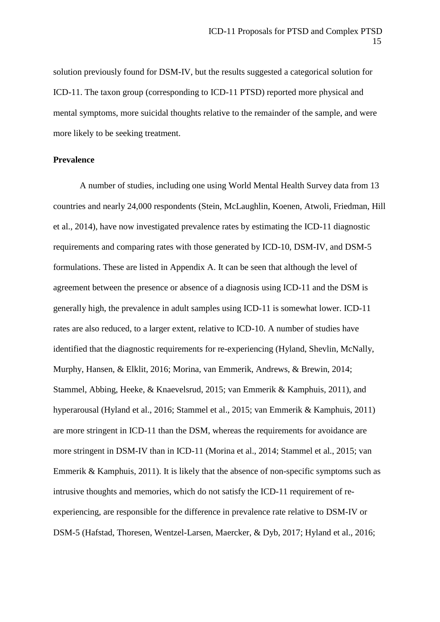solution previously found for DSM-IV, but the results suggested a categorical solution for ICD-11. The taxon group (corresponding to ICD-11 PTSD) reported more physical and mental symptoms, more suicidal thoughts relative to the remainder of the sample, and were more likely to be seeking treatment.

## **Prevalence**

A number of studies, including one using World Mental Health Survey data from 13 countries and nearly 24,000 respondents [\(Stein, McLaughlin, Koenen, Atwoli, Friedman, Hill](#page-46-3)  [et al., 2014\)](#page-46-3), have now investigated prevalence rates by estimating the ICD-11 diagnostic requirements and comparing rates with those generated by ICD-10, DSM-IV, and DSM-5 formulations. These are listed in Appendix A. It can be seen that although the level of agreement between the presence or absence of a diagnosis using ICD-11 and the DSM is generally high, the prevalence in adult samples using ICD-11 is somewhat lower. ICD-11 rates are also reduced, to a larger extent, relative to ICD-10. A number of studies have identified that the diagnostic requirements for re-experiencing [\(Hyland, Shevlin, McNally,](#page-40-1)  [Murphy, Hansen, & Elklit, 2016;](#page-40-1) [Morina, van Emmerik, Andrews, & Brewin, 2014;](#page-43-5) [Stammel, Abbing, Heeke, & Knaevelsrud, 2015;](#page-46-4) [van Emmerik & Kamphuis, 2011\)](#page-47-2), and hyperarousal [\(Hyland et al., 2016;](#page-40-1) [Stammel et al., 2015;](#page-46-4) [van Emmerik & Kamphuis, 2011\)](#page-47-2) are more stringent in ICD-11 than the DSM, whereas the requirements for avoidance are more stringent in DSM-IV than in ICD-11 [\(Morina et al., 2014;](#page-43-5) [Stammel et al., 2015;](#page-46-4) [van](#page-47-2)  [Emmerik & Kamphuis, 2011\)](#page-47-2). It is likely that the absence of non-specific symptoms such as intrusive thoughts and memories, which do not satisfy the ICD-11 requirement of reexperiencing, are responsible for the difference in prevalence rate relative to DSM-IV or DSM-5 [\(Hafstad, Thoresen, Wentzel-Larsen, Maercker, & Dyb, 2017;](#page-39-5) [Hyland et al., 2016;](#page-40-1)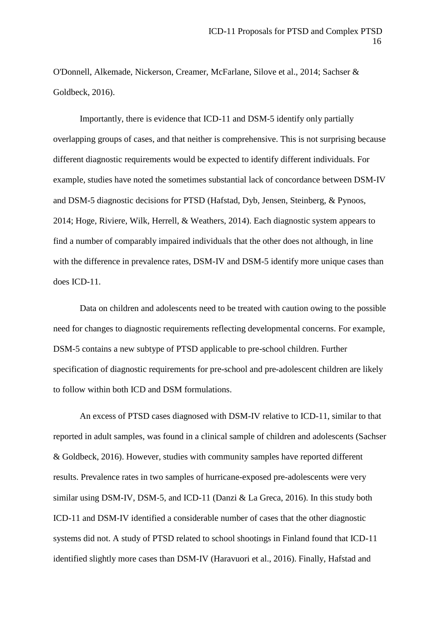[O'Donnell, Alkemade, Nickerson, Creamer, McFarlane, Silove et al., 2014;](#page-44-1) [Sachser &](#page-45-2)  [Goldbeck, 2016\)](#page-45-2).

Importantly, there is evidence that ICD-11 and DSM-5 identify only partially overlapping groups of cases, and that neither is comprehensive. This is not surprising because different diagnostic requirements would be expected to identify different individuals. For example, studies have noted the sometimes substantial lack of concordance between DSM-IV and DSM-5 diagnostic decisions for PTSD [\(Hafstad, Dyb, Jensen, Steinberg, & Pynoos,](#page-39-6)  [2014;](#page-39-6) [Hoge, Riviere, Wilk, Herrell, & Weathers, 2014\)](#page-40-2). Each diagnostic system appears to find a number of comparably impaired individuals that the other does not although, in line with the difference in prevalence rates, DSM-IV and DSM-5 identify more unique cases than does ICD-11.

Data on children and adolescents need to be treated with caution owing to the possible need for changes to diagnostic requirements reflecting developmental concerns. For example, DSM-5 contains a new subtype of PTSD applicable to pre-school children. Further specification of diagnostic requirements for pre-school and pre-adolescent children are likely to follow within both ICD and DSM formulations.

An excess of PTSD cases diagnosed with DSM-IV relative to ICD-11, similar to that reported in adult samples, was found in a clinical sample of children and adolescents [\(Sachser](#page-45-2)  [& Goldbeck, 2016\)](#page-45-2). However, studies with community samples have reported different results. Prevalence rates in two samples of hurricane-exposed pre-adolescents were very similar using DSM-IV, DSM-5, and ICD-11 [\(Danzi & La Greca, 2016\)](#page-37-6). In this study both ICD-11 and DSM-IV identified a considerable number of cases that the other diagnostic systems did not. A study of PTSD related to school shootings in Finland found that ICD-11 identified slightly more cases than DSM-IV [\(Haravuori et al., 2016\)](#page-39-2). Finally, Hafstad and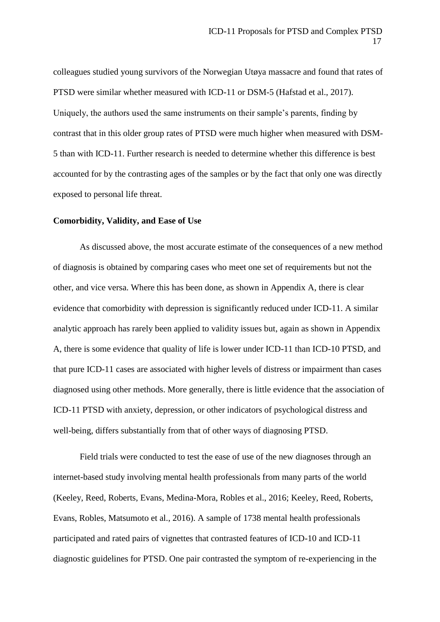colleagues studied young survivors of the Norwegian Utøya massacre and found that rates of PTSD were similar whether measured with ICD-11 or DSM-5 [\(Hafstad et al., 2017\)](#page-39-5). Uniquely, the authors used the same instruments on their sample's parents, finding by contrast that in this older group rates of PTSD were much higher when measured with DSM-5 than with ICD-11. Further research is needed to determine whether this difference is best accounted for by the contrasting ages of the samples or by the fact that only one was directly exposed to personal life threat.

#### **Comorbidity, Validity, and Ease of Use**

As discussed above, the most accurate estimate of the consequences of a new method of diagnosis is obtained by comparing cases who meet one set of requirements but not the other, and vice versa. Where this has been done, as shown in Appendix A, there is clear evidence that comorbidity with depression is significantly reduced under ICD-11. A similar analytic approach has rarely been applied to validity issues but, again as shown in Appendix A, there is some evidence that quality of life is lower under ICD-11 than ICD-10 PTSD, and that pure ICD-11 cases are associated with higher levels of distress or impairment than cases diagnosed using other methods. More generally, there is little evidence that the association of ICD-11 PTSD with anxiety, depression, or other indicators of psychological distress and well-being, differs substantially from that of other ways of diagnosing PTSD.

Field trials were conducted to test the ease of use of the new diagnoses through an internet-based study involving mental health professionals from many parts of the world [\(Keeley, Reed, Roberts, Evans, Medina-Mora, Robles et al., 2016;](#page-41-1) [Keeley, Reed, Roberts,](#page-41-2)  [Evans, Robles, Matsumoto et al., 2016\)](#page-41-2). A sample of 1738 mental health professionals participated and rated pairs of vignettes that contrasted features of ICD-10 and ICD-11 diagnostic guidelines for PTSD. One pair contrasted the symptom of re-experiencing in the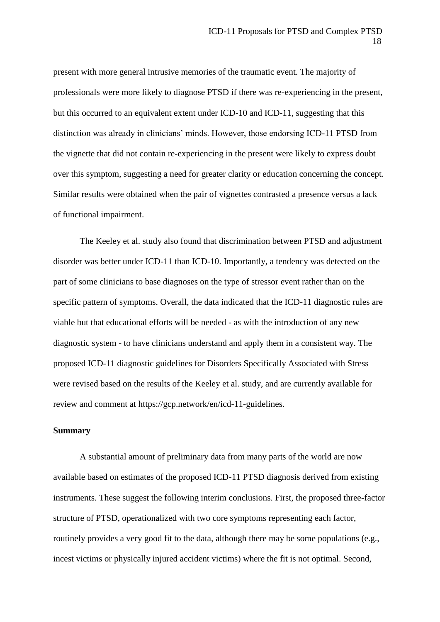present with more general intrusive memories of the traumatic event. The majority of professionals were more likely to diagnose PTSD if there was re-experiencing in the present, but this occurred to an equivalent extent under ICD-10 and ICD-11, suggesting that this distinction was already in clinicians' minds. However, those endorsing ICD-11 PTSD from the vignette that did not contain re-experiencing in the present were likely to express doubt over this symptom, suggesting a need for greater clarity or education concerning the concept. Similar results were obtained when the pair of vignettes contrasted a presence versus a lack of functional impairment.

The Keeley et al. study also found that discrimination between PTSD and adjustment disorder was better under ICD-11 than ICD-10. Importantly, a tendency was detected on the part of some clinicians to base diagnoses on the type of stressor event rather than on the specific pattern of symptoms. Overall, the data indicated that the ICD-11 diagnostic rules are viable but that educational efforts will be needed - as with the introduction of any new diagnostic system - to have clinicians understand and apply them in a consistent way. The proposed ICD-11 diagnostic guidelines for Disorders Specifically Associated with Stress were revised based on the results of the Keeley et al. study, and are currently available for review and comment at https://gcp.network/en/icd-11-guidelines.

# **Summary**

A substantial amount of preliminary data from many parts of the world are now available based on estimates of the proposed ICD-11 PTSD diagnosis derived from existing instruments. These suggest the following interim conclusions. First, the proposed three-factor structure of PTSD, operationalized with two core symptoms representing each factor, routinely provides a very good fit to the data, although there may be some populations (e.g., incest victims or physically injured accident victims) where the fit is not optimal. Second,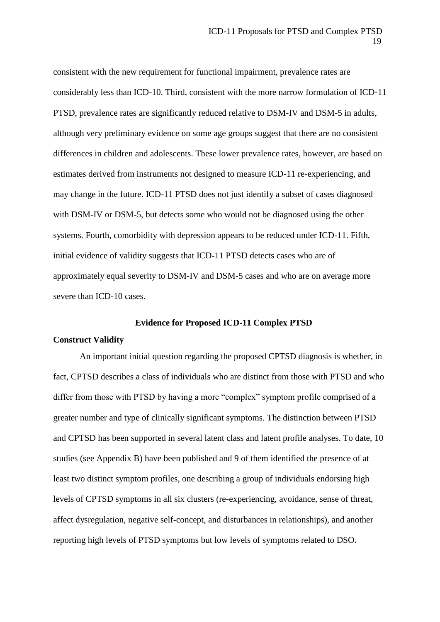consistent with the new requirement for functional impairment, prevalence rates are considerably less than ICD-10. Third, consistent with the more narrow formulation of ICD-11 PTSD, prevalence rates are significantly reduced relative to DSM-IV and DSM-5 in adults, although very preliminary evidence on some age groups suggest that there are no consistent differences in children and adolescents. These lower prevalence rates, however, are based on estimates derived from instruments not designed to measure ICD-11 re-experiencing, and may change in the future. ICD-11 PTSD does not just identify a subset of cases diagnosed with DSM-IV or DSM-5, but detects some who would not be diagnosed using the other systems. Fourth, comorbidity with depression appears to be reduced under ICD-11. Fifth, initial evidence of validity suggests that ICD-11 PTSD detects cases who are of approximately equal severity to DSM-IV and DSM-5 cases and who are on average more severe than ICD-10 cases.

### **Evidence for Proposed ICD-11 Complex PTSD**

# **Construct Validity**

An important initial question regarding the proposed CPTSD diagnosis is whether, in fact, CPTSD describes a class of individuals who are distinct from those with PTSD and who differ from those with PTSD by having a more "complex" symptom profile comprised of a greater number and type of clinically significant symptoms. The distinction between PTSD and CPTSD has been supported in several latent class and latent profile analyses. To date, 10 studies (see Appendix B) have been published and 9 of them identified the presence of at least two distinct symptom profiles, one describing a group of individuals endorsing high levels of CPTSD symptoms in all six clusters (re-experiencing, avoidance, sense of threat, affect dysregulation, negative self-concept, and disturbances in relationships), and another reporting high levels of PTSD symptoms but low levels of symptoms related to DSO.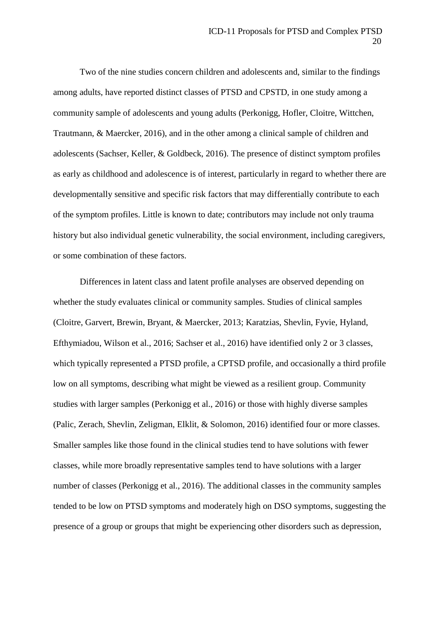Two of the nine studies concern children and adolescents and, similar to the findings among adults, have reported distinct classes of PTSD and CPSTD, in one study among a community sample of adolescents and young adults [\(Perkonigg, Hofler, Cloitre, Wittchen,](#page-44-2)  [Trautmann, & Maercker, 2016\)](#page-44-2), and in the other among a clinical sample of children and adolescents [\(Sachser, Keller, & Goldbeck, 2016\)](#page-46-5). The presence of distinct symptom profiles as early as childhood and adolescence is of interest, particularly in regard to whether there are developmentally sensitive and specific risk factors that may differentially contribute to each of the symptom profiles. Little is known to date; contributors may include not only trauma history but also individual genetic vulnerability, the social environment, including caregivers, or some combination of these factors.

Differences in latent class and latent profile analyses are observed depending on whether the study evaluates clinical or community samples. Studies of clinical samples [\(Cloitre, Garvert, Brewin, Bryant, & Maercker, 2013;](#page-36-5) [Karatzias, Shevlin, Fyvie, Hyland,](#page-41-3)  [Efthymiadou, Wilson](#page-41-3) et al., 2016; [Sachser et al., 2016\)](#page-46-5) have identified only 2 or 3 classes, which typically represented a PTSD profile, a CPTSD profile, and occasionally a third profile low on all symptoms, describing what might be viewed as a resilient group. Community studies with larger samples [\(Perkonigg et al., 2016\)](#page-44-2) or those with highly diverse samples [\(Palic, Zerach, Shevlin, Zeligman, Elklit, & Solomon, 2016\)](#page-44-3) identified four or more classes. Smaller samples like those found in the clinical studies tend to have solutions with fewer classes, while more broadly representative samples tend to have solutions with a larger number of classes (Perkonigg et al., 2016). The additional classes in the community samples tended to be low on PTSD symptoms and moderately high on DSO symptoms, suggesting the presence of a group or groups that might be experiencing other disorders such as depression,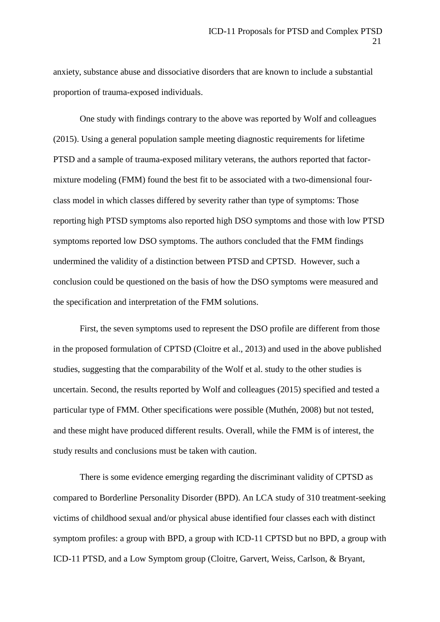anxiety, substance abuse and dissociative disorders that are known to include a substantial proportion of trauma-exposed individuals.

One study with findings contrary to the above was reported by Wolf and colleagues (2015). Using a general population sample meeting diagnostic requirements for lifetime PTSD and a sample of trauma-exposed military veterans, the authors reported that factormixture modeling (FMM) found the best fit to be associated with a two-dimensional fourclass model in which classes differed by severity rather than type of symptoms: Those reporting high PTSD symptoms also reported high DSO symptoms and those with low PTSD symptoms reported low DSO symptoms. The authors concluded that the FMM findings undermined the validity of a distinction between PTSD and CPTSD. However, such a conclusion could be questioned on the basis of how the DSO symptoms were measured and the specification and interpretation of the FMM solutions.

First, the seven symptoms used to represent the DSO profile are different from those in the proposed formulation of CPTSD (Cloitre et al., 2013) and used in the above published studies, suggesting that the comparability of the Wolf et al. study to the other studies is uncertain. Second, the results reported by Wolf and colleagues (2015) specified and tested a particular type of FMM. Other specifications were possible [\(Muthén, 2008\)](#page-44-4) but not tested, and these might have produced different results. Overall, while the FMM is of interest, the study results and conclusions must be taken with caution.

There is some evidence emerging regarding the discriminant validity of CPTSD as compared to Borderline Personality Disorder (BPD). An LCA study of 310 treatment-seeking victims of childhood sexual and/or physical abuse identified four classes each with distinct symptom profiles: a group with BPD, a group with ICD-11 CPTSD but no BPD, a group with ICD-11 PTSD, and a Low Symptom group [\(Cloitre, Garvert, Weiss, Carlson, & Bryant,](#page-36-6)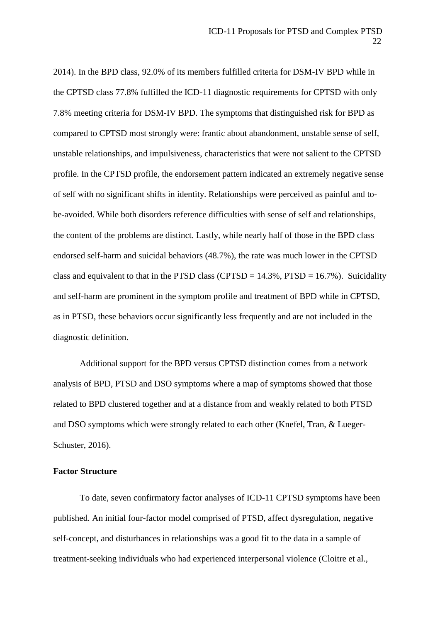[2014\)](#page-36-6). In the BPD class, 92.0% of its members fulfilled criteria for DSM-IV BPD while in the CPTSD class 77.8% fulfilled the ICD-11 diagnostic requirements for CPTSD with only 7.8% meeting criteria for DSM-IV BPD. The symptoms that distinguished risk for BPD as compared to CPTSD most strongly were: frantic about abandonment, unstable sense of self, unstable relationships, and impulsiveness, characteristics that were not salient to the CPTSD profile. In the CPTSD profile, the endorsement pattern indicated an extremely negative sense of self with no significant shifts in identity. Relationships were perceived as painful and tobe-avoided. While both disorders reference difficulties with sense of self and relationships, the content of the problems are distinct. Lastly, while nearly half of those in the BPD class endorsed self-harm and suicidal behaviors (48.7%), the rate was much lower in the CPTSD class and equivalent to that in the PTSD class (CPTSD =  $14.3\%$ , PTSD =  $16.7\%$ ). Suicidality and self-harm are prominent in the symptom profile and treatment of BPD while in CPTSD, as in PTSD, these behaviors occur significantly less frequently and are not included in the diagnostic definition.

Additional support for the BPD versus CPTSD distinction comes from a network analysis of BPD, PTSD and DSO symptoms where a map of symptoms showed that those related to BPD clustered together and at a distance from and weakly related to both PTSD and DSO symptoms which were strongly related to each other [\(Knefel, Tran, & Lueger-](#page-42-4)[Schuster, 2016\)](#page-42-4).

#### **Factor Structure**

To date, seven confirmatory factor analyses of ICD-11 CPTSD symptoms have been published. An initial four-factor model comprised of PTSD, affect dysregulation, negative self-concept, and disturbances in relationships was a good fit to the data in a sample of treatment-seeking individuals who had experienced interpersonal violence (Cloitre et al.,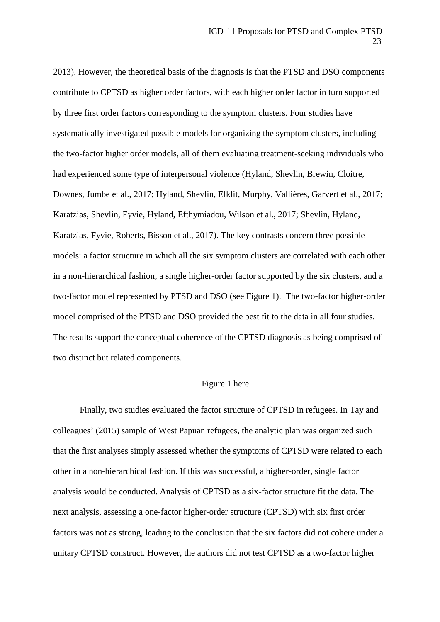2013). However, the theoretical basis of the diagnosis is that the PTSD and DSO components contribute to CPTSD as higher order factors, with each higher order factor in turn supported by three first order factors corresponding to the symptom clusters. Four studies have systematically investigated possible models for organizing the symptom clusters, including the two-factor higher order models, all of them evaluating treatment-seeking individuals who had experienced some type of interpersonal violence [\(Hyland, Shevlin, Brewin, Cloitre,](#page-40-3)  [Downes, Jumbe et al., 2017;](#page-40-3) [Hyland, Shevlin, Elklit, Murphy, Vallières, Garvert et al., 2017;](#page-40-4) [Karatzias, Shevlin, Fyvie, Hyland, Efthymiadou, Wilson et al., 2017;](#page-41-4) [Shevlin, Hyland,](#page-46-6)  [Karatzias, Fyvie, Roberts, Bisson et al., 2017\)](#page-46-6). The key contrasts concern three possible models: a factor structure in which all the six symptom clusters are correlated with each other in a non-hierarchical fashion, a single higher-order factor supported by the six clusters, and a two-factor model represented by PTSD and DSO (see Figure 1). The two-factor higher-order model comprised of the PTSD and DSO provided the best fit to the data in all four studies. The results support the conceptual coherence of the CPTSD diagnosis as being comprised of two distinct but related components.

# Figure 1 here

Finally, two studies evaluated the factor structure of CPTSD in refugees. In Tay and colleagues' (2015) sample of West Papuan refugees, the analytic plan was organized such that the first analyses simply assessed whether the symptoms of CPTSD were related to each other in a non-hierarchical fashion. If this was successful, a higher-order, single factor analysis would be conducted. Analysis of CPTSD as a six-factor structure fit the data. The next analysis, assessing a one-factor higher-order structure (CPTSD) with six first order factors was not as strong, leading to the conclusion that the six factors did not cohere under a unitary CPTSD construct. However, the authors did not test CPTSD as a two-factor higher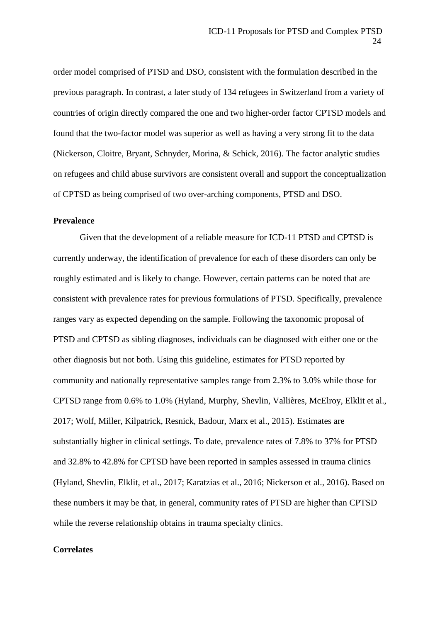order model comprised of PTSD and DSO, consistent with the formulation described in the previous paragraph. In contrast, a later study of 134 refugees in Switzerland from a variety of countries of origin directly compared the one and two higher-order factor CPTSD models and found that the two-factor model was superior as well as having a very strong fit to the data [\(Nickerson, Cloitre, Bryant, Schnyder, Morina, & Schick, 2016\)](#page-44-5). The factor analytic studies on refugees and child abuse survivors are consistent overall and support the conceptualization of CPTSD as being comprised of two over-arching components, PTSD and DSO.

#### **Prevalence**

Given that the development of a reliable measure for ICD-11 PTSD and CPTSD is currently underway, the identification of prevalence for each of these disorders can only be roughly estimated and is likely to change. However, certain patterns can be noted that are consistent with prevalence rates for previous formulations of PTSD. Specifically, prevalence ranges vary as expected depending on the sample. Following the taxonomic proposal of PTSD and CPTSD as sibling diagnoses, individuals can be diagnosed with either one or the other diagnosis but not both. Using this guideline, estimates for PTSD reported by community and nationally representative samples range from 2.3% to 3.0% while those for CPTSD range from 0.6% to 1.0% [\(Hyland, Murphy, Shevlin, Vallières, McElroy, Elklit et al.,](#page-40-5)  [2017;](#page-40-5) [Wolf, Miller, Kilpatrick, Resnick, Badour, Marx et al., 2015\)](#page-47-3). Estimates are substantially higher in clinical settings. To date, prevalence rates of 7.8% to 37% for PTSD and 32.8% to 42.8% for CPTSD have been reported in samples assessed in trauma clinics [\(Hyland, Shevlin, Elklit, et al., 2017;](#page-40-4) [Karatzias et al., 2016;](#page-41-3) [Nickerson et al., 2016\)](#page-44-5). Based on these numbers it may be that, in general, community rates of PTSD are higher than CPTSD while the reverse relationship obtains in trauma specialty clinics.

### **Correlates**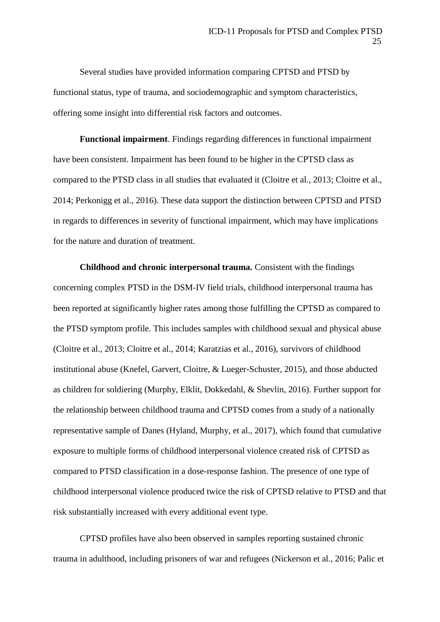Several studies have provided information comparing CPTSD and PTSD by functional status, type of trauma, and sociodemographic and symptom characteristics, offering some insight into differential risk factors and outcomes.

**Functional impairment**. Findings regarding differences in functional impairment have been consistent. Impairment has been found to be higher in the CPTSD class as compared to the PTSD class in all studies that evaluated it [\(Cloitre et al., 2013;](#page-36-5) [Cloitre et al.,](#page-36-6)  [2014;](#page-36-6) [Perkonigg et al., 2016\)](#page-44-2). These data support the distinction between CPTSD and PTSD in regards to differences in severity of functional impairment, which may have implications for the nature and duration of treatment.

**Childhood and chronic interpersonal trauma.** Consistent with the findings concerning complex PTSD in the DSM-IV field trials, childhood interpersonal trauma has been reported at significantly higher rates among those fulfilling the CPTSD as compared to the PTSD symptom profile. This includes samples with childhood sexual and physical abuse [\(Cloitre et al., 2013;](#page-36-5) [Cloitre et al., 2014;](#page-36-6) [Karatzias et al., 2016\)](#page-41-3), survivors of childhood institutional abuse [\(Knefel, Garvert, Cloitre, & Lueger-Schuster, 2015\)](#page-42-5), and those abducted as children for soldiering [\(Murphy, Elklit, Dokkedahl, & Shevlin, 2016\)](#page-43-6). Further support for the relationship between childhood trauma and CPTSD comes from a study of a nationally representative sample of Danes [\(Hyland, Murphy, et al., 2017\)](#page-40-5), which found that cumulative exposure to multiple forms of childhood interpersonal violence created risk of CPTSD as compared to PTSD classification in a dose-response fashion. The presence of one type of childhood interpersonal violence produced twice the risk of CPTSD relative to PTSD and that risk substantially increased with every additional event type.

CPTSD profiles have also been observed in samples reporting sustained chronic trauma in adulthood, including prisoners of war and refugees [\(Nickerson et al., 2016;](#page-44-5) [Palic et](#page-44-3)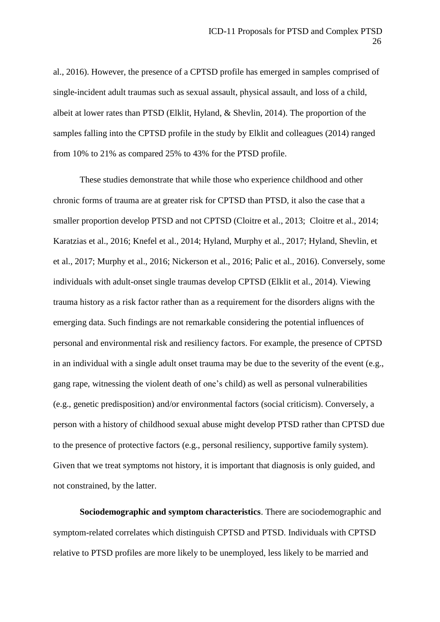[al., 2016\)](#page-44-3). However, the presence of a CPTSD profile has emerged in samples comprised of single-incident adult traumas such as sexual assault, physical assault, and loss of a child, albeit at lower rates than PTSD [\(Elklit, Hyland, & Shevlin, 2014\)](#page-38-6). The proportion of the samples falling into the CPTSD profile in the study by Elklit and colleagues (2014) ranged from 10% to 21% as compared 25% to 43% for the PTSD profile.

These studies demonstrate that while those who experience childhood and other chronic forms of trauma are at greater risk for CPTSD than PTSD, it also the case that a smaller proportion develop PTSD and not CPTSD [\(Cloitre et al., 2013; Cloitre et al., 2014;](#page-36-3)  [Karatzias et al., 2016;](#page-40-4) Knefel et al., 2014; Hyland, Murphy et al., 2017; Hyland, Shevlin, et et al., 2017; Murphy et al., 2016; Nickerson et al., 2016; Palic et al., 2016). Conversely, some individuals with adult-onset single traumas develop CPTSD (Elklit et al., 2014). Viewing trauma history as a risk factor rather than as a requirement for the disorders aligns with the emerging data. Such findings are not remarkable considering the potential influences of personal and environmental risk and resiliency factors. For example, the presence of CPTSD in an individual with a single adult onset trauma may be due to the severity of the event (e.g., gang rape, witnessing the violent death of one's child) as well as personal vulnerabilities (e.g., genetic predisposition) and/or environmental factors (social criticism). Conversely, a person with a history of childhood sexual abuse might develop PTSD rather than CPTSD due to the presence of protective factors (e.g., personal resiliency, supportive family system). Given that we treat symptoms not history, it is important that diagnosis is only guided, and not constrained, by the latter.

**Sociodemographic and symptom characteristics**. There are sociodemographic and symptom-related correlates which distinguish CPTSD and PTSD. Individuals with CPTSD relative to PTSD profiles are more likely to be unemployed, less likely to be married and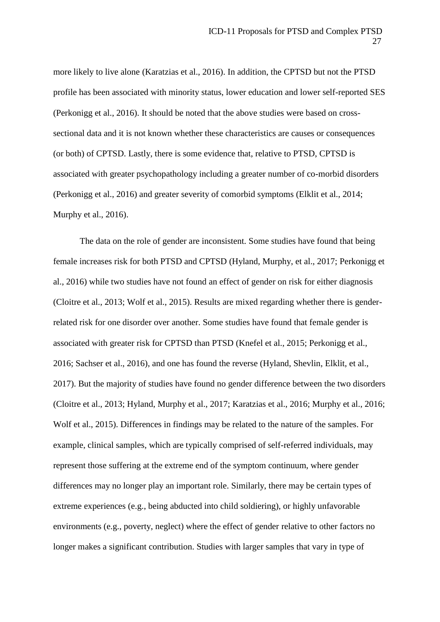more likely to live alone [\(Karatzias et al., 2016\)](#page-41-3). In addition, the CPTSD but not the PTSD profile has been associated with minority status, lower education and lower self-reported SES [\(Perkonigg et al., 2016\)](#page-44-2). It should be noted that the above studies were based on crosssectional data and it is not known whether these characteristics are causes or consequences (or both) of CPTSD. Lastly, there is some evidence that, relative to PTSD, CPTSD is associated with greater psychopathology including a greater number of co-morbid disorders [\(Perkonigg et al., 2016\)](#page-44-2) and greater severity of comorbid symptoms [\(Elklit et al., 2014;](#page-38-6) [Murphy et al., 2016\)](#page-43-6).

The data on the role of gender are inconsistent. Some studies have found that being female increases risk for both PTSD and CPTSD [\(Hyland, Murphy, et al., 2017;](#page-40-5) [Perkonigg et](#page-44-2)  [al., 2016\)](#page-44-2) while two studies have not found an effect of gender on risk for either diagnosis [\(Cloitre et al., 2013;](#page-36-5) [Wolf et al., 2015\)](#page-47-3). Results are mixed regarding whether there is genderrelated risk for one disorder over another. Some studies have found that female gender is associated with greater risk for CPTSD than PTSD [\(Knefel et al., 2015;](#page-42-5) [Perkonigg et al.,](#page-44-2)  [2016;](#page-44-2) [Sachser et al., 2016\)](#page-46-5), and one has found the reverse [\(Hyland, Shevlin, Elklit, et al.,](#page-40-4)  [2017\)](#page-40-4). But the majority of studies have found no gender difference between the two disorders (Cloitre et al., 2013; Hyland, Murphy et al., 2017; Karatzias et al., 2016; Murphy et al., 2016; Wolf et al., 2015). Differences in findings may be related to the nature of the samples. For example, clinical samples, which are typically comprised of self-referred individuals, may represent those suffering at the extreme end of the symptom continuum, where gender differences may no longer play an important role. Similarly, there may be certain types of extreme experiences (e.g., being abducted into child soldiering), or highly unfavorable environments (e.g., poverty, neglect) where the effect of gender relative to other factors no longer makes a significant contribution. Studies with larger samples that vary in type of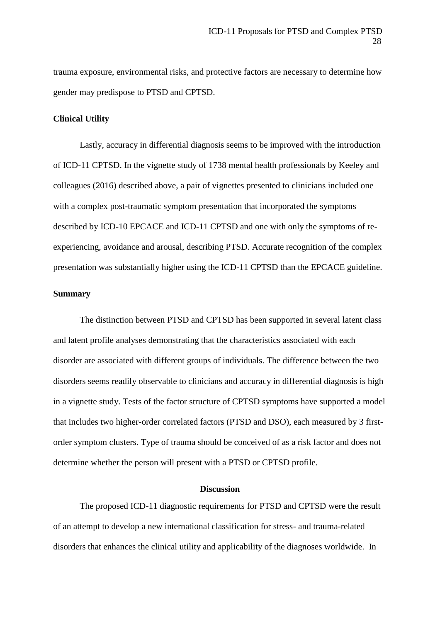trauma exposure, environmental risks, and protective factors are necessary to determine how gender may predispose to PTSD and CPTSD.

# **Clinical Utility**

Lastly, accuracy in differential diagnosis seems to be improved with the introduction of ICD-11 CPTSD. In the vignette study of 1738 mental health professionals by Keeley and colleagues (2016) described above, a pair of vignettes presented to clinicians included one with a complex post-traumatic symptom presentation that incorporated the symptoms described by ICD-10 EPCACE and ICD-11 CPTSD and one with only the symptoms of reexperiencing, avoidance and arousal, describing PTSD. Accurate recognition of the complex presentation was substantially higher using the ICD-11 CPTSD than the EPCACE guideline.

## **Summary**

The distinction between PTSD and CPTSD has been supported in several latent class and latent profile analyses demonstrating that the characteristics associated with each disorder are associated with different groups of individuals. The difference between the two disorders seems readily observable to clinicians and accuracy in differential diagnosis is high in a vignette study. Tests of the factor structure of CPTSD symptoms have supported a model that includes two higher-order correlated factors (PTSD and DSO), each measured by 3 firstorder symptom clusters. Type of trauma should be conceived of as a risk factor and does not determine whether the person will present with a PTSD or CPTSD profile.

## **Discussion**

The proposed ICD-11 diagnostic requirements for PTSD and CPTSD were the result of an attempt to develop a new international classification for stress- and trauma-related disorders that enhances the clinical utility and applicability of the diagnoses worldwide. In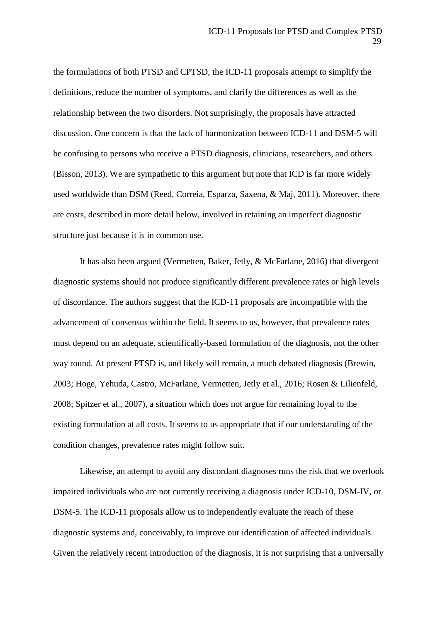the formulations of both PTSD and CPTSD, the ICD-11 proposals attempt to simplify the definitions, reduce the number of symptoms, and clarify the differences as well as the relationship between the two disorders. Not surprisingly, the proposals have attracted discussion. One concern is that the lack of harmonization between ICD-11 and DSM-5 will be confusing to persons who receive a PTSD diagnosis, clinicians, researchers, and others [\(Bisson, 2013\)](#page-34-6). We are sympathetic to this argument but note that ICD is far more widely used worldwide than DSM [\(Reed, Correia, Esparza, Saxena, & Maj, 2011\)](#page-45-3). Moreover, there are costs, described in more detail below, involved in retaining an imperfect diagnostic structure just because it is in common use.

It has also been argued [\(Vermetten, Baker, Jetly, & McFarlane, 2016\)](#page-47-4) that divergent diagnostic systems should not produce significantly different prevalence rates or high levels of discordance. The authors suggest that the ICD-11 proposals are incompatible with the advancement of consensus within the field. It seems to us, however, that prevalence rates must depend on an adequate, scientifically-based formulation of the diagnosis, not the other way round. At present PTSD is, and likely will remain, a much debated diagnosis [\(Brewin,](#page-34-3)  [2003;](#page-34-3) [Hoge, Yehuda, Castro, McFarlane, Vermetten, Jetly et al., 2016;](#page-40-6) [Rosen & Lilienfeld,](#page-45-4)  [2008;](#page-45-4) [Spitzer et al., 2007\)](#page-46-0), a situation which does not argue for remaining loyal to the existing formulation at all costs. It seems to us appropriate that if our understanding of the condition changes, prevalence rates might follow suit.

Likewise, an attempt to avoid any discordant diagnoses runs the risk that we overlook impaired individuals who are not currently receiving a diagnosis under ICD-10, DSM-IV, or DSM-5. The ICD-11 proposals allow us to independently evaluate the reach of these diagnostic systems and, conceivably, to improve our identification of affected individuals. Given the relatively recent introduction of the diagnosis, it is not surprising that a universally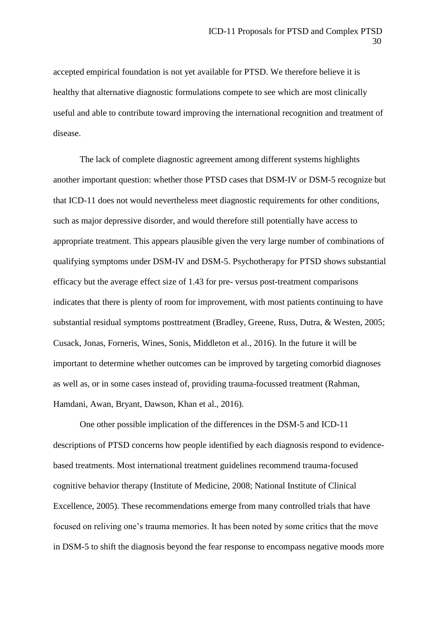accepted empirical foundation is not yet available for PTSD. We therefore believe it is healthy that alternative diagnostic formulations compete to see which are most clinically useful and able to contribute toward improving the international recognition and treatment of disease.

The lack of complete diagnostic agreement among different systems highlights another important question: whether those PTSD cases that DSM-IV or DSM-5 recognize but that ICD-11 does not would nevertheless meet diagnostic requirements for other conditions, such as major depressive disorder, and would therefore still potentially have access to appropriate treatment. This appears plausible given the very large number of combinations of qualifying symptoms under DSM-IV and DSM-5. Psychotherapy for PTSD shows substantial efficacy but the average effect size of 1.43 for pre- versus post-treatment comparisons indicates that there is plenty of room for improvement, with most patients continuing to have substantial residual symptoms posttreatment [\(Bradley, Greene, Russ, Dutra, & Westen, 2005;](#page-34-7) [Cusack, Jonas, Forneris, Wines, Sonis, Middleton et al., 2016\)](#page-37-7). In the future it will be important to determine whether outcomes can be improved by targeting comorbid diagnoses as well as, or in some cases instead of, providing trauma-focussed treatment [\(Rahman,](#page-45-5)  [Hamdani, Awan, Bryant, Dawson, Khan et al., 2016\)](#page-45-5).

One other possible implication of the differences in the DSM-5 and ICD-11 descriptions of PTSD concerns how people identified by each diagnosis respond to evidencebased treatments. Most international treatment guidelines recommend trauma-focused cognitive behavior therapy [\(Institute of Medicine, 2008;](#page-41-5) [National Institute of Clinical](#page-44-6)  [Excellence, 2005\)](#page-44-6). These recommendations emerge from many controlled trials that have focused on reliving one's trauma memories. It has been noted by some critics that the move in DSM-5 to shift the diagnosis beyond the fear response to encompass negative moods more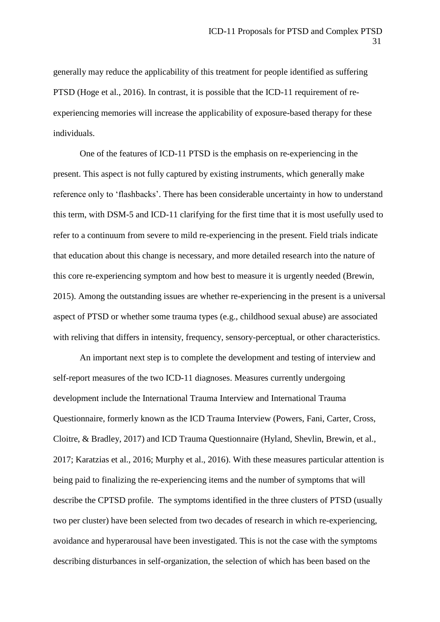generally may reduce the applicability of this treatment for people identified as suffering PTSD [\(Hoge et al., 2016\)](#page-40-6). In contrast, it is possible that the ICD-11 requirement of reexperiencing memories will increase the applicability of exposure-based therapy for these individuals.

One of the features of ICD-11 PTSD is the emphasis on re-experiencing in the present. This aspect is not fully captured by existing instruments, which generally make reference only to 'flashbacks'. There has been considerable uncertainty in how to understand this term, with DSM-5 and ICD-11 clarifying for the first time that it is most usefully used to refer to a continuum from severe to mild re-experiencing in the present. Field trials indicate that education about this change is necessary, and more detailed research into the nature of this core re-experiencing symptom and how best to measure it is urgently needed [\(Brewin,](#page-35-7)  [2015\)](#page-35-7). Among the outstanding issues are whether re-experiencing in the present is a universal aspect of PTSD or whether some trauma types (e.g., childhood sexual abuse) are associated with reliving that differs in intensity, frequency, sensory-perceptual, or other characteristics.

An important next step is to complete the development and testing of interview and self-report measures of the two ICD-11 diagnoses. Measures currently undergoing development include the International Trauma Interview and International Trauma Questionnaire, formerly known as the ICD Trauma Interview [\(Powers, Fani, Carter, Cross,](#page-44-7)  [Cloitre, & Bradley, 2017\)](#page-44-7) and ICD Trauma Questionnaire [\(Hyland, Shevlin, Brewin, et](#page-40-3) al., [2017;](#page-40-3) [Karatzias et al., 2016;](#page-41-3) [Murphy et al., 2016\)](#page-43-6). With these measures particular attention is being paid to finalizing the re-experiencing items and the number of symptoms that will describe the CPTSD profile. The symptoms identified in the three clusters of PTSD (usually two per cluster) have been selected from two decades of research in which re-experiencing, avoidance and hyperarousal have been investigated. This is not the case with the symptoms describing disturbances in self-organization, the selection of which has been based on the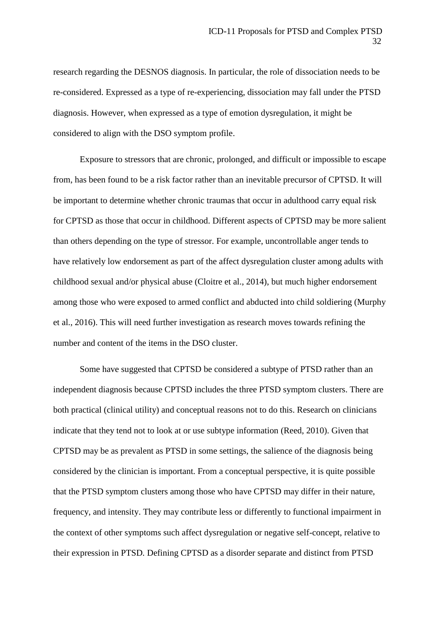research regarding the DESNOS diagnosis. In particular, the role of dissociation needs to be re-considered. Expressed as a type of re-experiencing, dissociation may fall under the PTSD diagnosis. However, when expressed as a type of emotion dysregulation, it might be considered to align with the DSO symptom profile.

Exposure to stressors that are chronic, prolonged, and difficult or impossible to escape from, has been found to be a risk factor rather than an inevitable precursor of CPTSD. It will be important to determine whether chronic traumas that occur in adulthood carry equal risk for CPTSD as those that occur in childhood. Different aspects of CPTSD may be more salient than others depending on the type of stressor. For example, uncontrollable anger tends to have relatively low endorsement as part of the affect dysregulation cluster among adults with childhood sexual and/or physical abuse (Cloitre et al., 2014), but much higher endorsement among those who were exposed to armed conflict and abducted into child soldiering (Murphy et al., 2016). This will need further investigation as research moves towards refining the number and content of the items in the DSO cluster.

Some have suggested that CPTSD be considered a subtype of PTSD rather than an independent diagnosis because CPTSD includes the three PTSD symptom clusters. There are both practical (clinical utility) and conceptual reasons not to do this. Research on clinicians indicate that they tend not to look at or use subtype information [\(Reed, 2010\)](#page-45-6). Given that CPTSD may be as prevalent as PTSD in some settings, the salience of the diagnosis being considered by the clinician is important. From a conceptual perspective, it is quite possible that the PTSD symptom clusters among those who have CPTSD may differ in their nature, frequency, and intensity. They may contribute less or differently to functional impairment in the context of other symptoms such affect dysregulation or negative self-concept, relative to their expression in PTSD. Defining CPTSD as a disorder separate and distinct from PTSD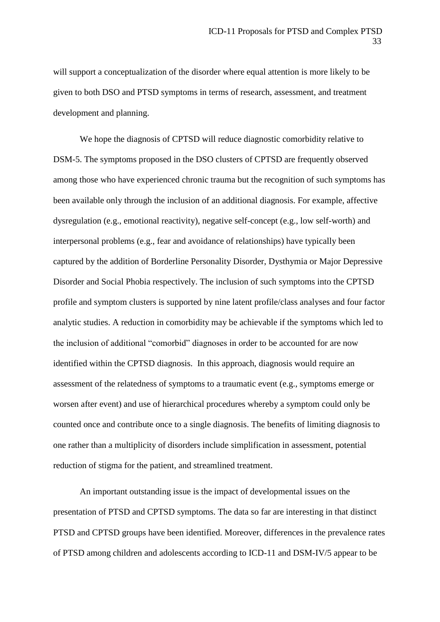will support a conceptualization of the disorder where equal attention is more likely to be given to both DSO and PTSD symptoms in terms of research, assessment, and treatment development and planning.

We hope the diagnosis of CPTSD will reduce diagnostic comorbidity relative to DSM-5. The symptoms proposed in the DSO clusters of CPTSD are frequently observed among those who have experienced chronic trauma but the recognition of such symptoms has been available only through the inclusion of an additional diagnosis. For example, affective dysregulation (e.g., emotional reactivity), negative self-concept (e.g., low self-worth) and interpersonal problems (e.g., fear and avoidance of relationships) have typically been captured by the addition of Borderline Personality Disorder, Dysthymia or Major Depressive Disorder and Social Phobia respectively. The inclusion of such symptoms into the CPTSD profile and symptom clusters is supported by nine latent profile/class analyses and four factor analytic studies. A reduction in comorbidity may be achievable if the symptoms which led to the inclusion of additional "comorbid" diagnoses in order to be accounted for are now identified within the CPTSD diagnosis. In this approach, diagnosis would require an assessment of the relatedness of symptoms to a traumatic event (e.g., symptoms emerge or worsen after event) and use of hierarchical procedures whereby a symptom could only be counted once and contribute once to a single diagnosis. The benefits of limiting diagnosis to one rather than a multiplicity of disorders include simplification in assessment, potential reduction of stigma for the patient, and streamlined treatment.

An important outstanding issue is the impact of developmental issues on the presentation of PTSD and CPTSD symptoms. The data so far are interesting in that distinct PTSD and CPTSD groups have been identified. Moreover, differences in the prevalence rates of PTSD among children and adolescents according to ICD-11 and DSM-IV/5 appear to be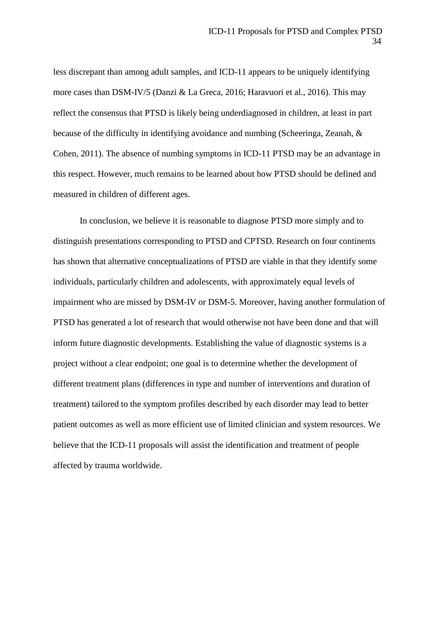less discrepant than among adult samples, and ICD-11 appears to be uniquely identifying more cases than DSM-IV/5 [\(Danzi & La Greca, 2016;](#page-37-6) [Haravuori et al., 2016\)](#page-39-2). This may reflect the consensus that PTSD is likely being underdiagnosed in children, at least in part because of the difficulty in identifying avoidance and numbing [\(Scheeringa, Zeanah, &](#page-46-7)  [Cohen, 2011\)](#page-46-7). The absence of numbing symptoms in ICD-11 PTSD may be an advantage in this respect. However, much remains to be learned about how PTSD should be defined and measured in children of different ages.

In conclusion, we believe it is reasonable to diagnose PTSD more simply and to distinguish presentations corresponding to PTSD and CPTSD. Research on four continents has shown that alternative conceptualizations of PTSD are viable in that they identify some individuals, particularly children and adolescents, with approximately equal levels of impairment who are missed by DSM-IV or DSM-5. Moreover, having another formulation of PTSD has generated a lot of research that would otherwise not have been done and that will inform future diagnostic developments. Establishing the value of diagnostic systems is a project without a clear endpoint; one goal is to determine whether the development of different treatment plans (differences in type and number of interventions and duration of treatment) tailored to the symptom profiles described by each disorder may lead to better patient outcomes as well as more efficient use of limited clinician and system resources. We believe that the ICD-11 proposals will assist the identification and treatment of people affected by trauma worldwide.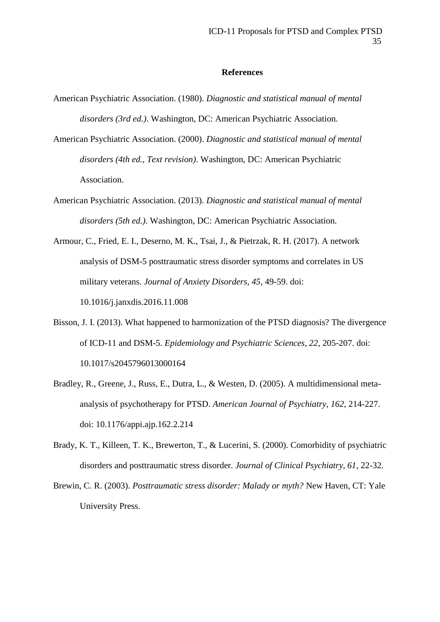#### **References**

- <span id="page-34-0"></span>American Psychiatric Association. (1980). *Diagnostic and statistical manual of mental disorders (3rd ed.)*. Washington, DC: American Psychiatric Association.
- <span id="page-34-4"></span>American Psychiatric Association. (2000). *Diagnostic and statistical manual of mental disorders (4th ed., Text revision)*. Washington, DC: American Psychiatric Association.
- <span id="page-34-1"></span>American Psychiatric Association. (2013). *Diagnostic and statistical manual of mental disorders (5th ed.)*. Washington, DC: American Psychiatric Association.
- <span id="page-34-5"></span>Armour, C., Fried, E. I., Deserno, M. K., Tsai, J., & Pietrzak, R. H. (2017). A network analysis of DSM-5 posttraumatic stress disorder symptoms and correlates in US military veterans. *Journal of Anxiety Disorders, 45*, 49-59. doi: 10.1016/j.janxdis.2016.11.008
- <span id="page-34-6"></span>Bisson, J. I. (2013). What happened to harmonization of the PTSD diagnosis? The divergence of ICD-11 and DSM-5. *Epidemiology and Psychiatric Sciences, 22*, 205-207. doi: 10.1017/s2045796013000164
- <span id="page-34-7"></span>Bradley, R., Greene, J., Russ, E., Dutra, L., & Westen, D. (2005). A multidimensional metaanalysis of psychotherapy for PTSD. *American Journal of Psychiatry, 162*, 214-227. doi: 10.1176/appi.ajp.162.2.214
- <span id="page-34-2"></span>Brady, K. T., Killeen, T. K., Brewerton, T., & Lucerini, S. (2000). Comorbidity of psychiatric disorders and posttraumatic stress disorder. *Journal of Clinical Psychiatry, 61*, 22-32.
- <span id="page-34-3"></span>Brewin, C. R. (2003). *Posttraumatic stress disorder: Malady or myth?* New Haven, CT: Yale University Press.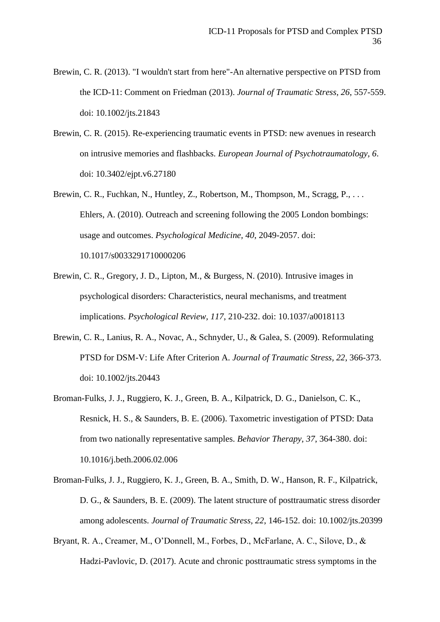- <span id="page-35-2"></span>Brewin, C. R. (2013). "I wouldn't start from here"-An alternative perspective on PTSD from the ICD-11: Comment on Friedman (2013). *Journal of Traumatic Stress, 26*, 557-559. doi: 10.1002/jts.21843
- <span id="page-35-7"></span>Brewin, C. R. (2015). Re-experiencing traumatic events in PTSD: new avenues in research on intrusive memories and flashbacks. *European Journal of Psychotraumatology, 6*. doi: 10.3402/ejpt.v6.27180
- <span id="page-35-0"></span>Brewin, C. R., Fuchkan, N., Huntley, Z., Robertson, M., Thompson, M., Scragg, P., ... Ehlers, A. (2010). Outreach and screening following the 2005 London bombings: usage and outcomes. *Psychological Medicine, 40*, 2049-2057. doi: 10.1017/s0033291710000206

<span id="page-35-3"></span>Brewin, C. R., Gregory, J. D., Lipton, M., & Burgess, N. (2010). Intrusive images in psychological disorders: Characteristics, neural mechanisms, and treatment

implications. *Psychological Review, 117*, 210-232. doi: 10.1037/a0018113

- <span id="page-35-1"></span>Brewin, C. R., Lanius, R. A., Novac, A., Schnyder, U., & Galea, S. (2009). Reformulating PTSD for DSM-V: Life After Criterion A. *Journal of Traumatic Stress, 22*, 366-373. doi: 10.1002/jts.20443
- <span id="page-35-5"></span>Broman-Fulks, J. J., Ruggiero, K. J., Green, B. A., Kilpatrick, D. G., Danielson, C. K., Resnick, H. S., & Saunders, B. E. (2006). Taxometric investigation of PTSD: Data from two nationally representative samples. *Behavior Therapy, 37*, 364-380. doi: 10.1016/j.beth.2006.02.006
- <span id="page-35-6"></span>Broman-Fulks, J. J., Ruggiero, K. J., Green, B. A., Smith, D. W., Hanson, R. F., Kilpatrick, D. G., & Saunders, B. E. (2009). The latent structure of posttraumatic stress disorder among adolescents. *Journal of Traumatic Stress, 22*, 146-152. doi: 10.1002/jts.20399
- <span id="page-35-4"></span>Bryant, R. A., Creamer, M., O'Donnell, M., Forbes, D., McFarlane, A. C., Silove, D., & Hadzi-Pavlovic, D. (2017). Acute and chronic posttraumatic stress symptoms in the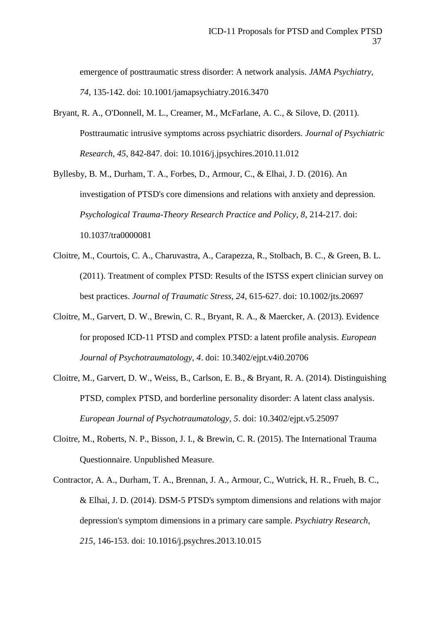emergence of posttraumatic stress disorder: A network analysis. *JAMA Psychiatry, 74*, 135-142. doi: 10.1001/jamapsychiatry.2016.3470

<span id="page-36-2"></span>Bryant, R. A., O'Donnell, M. L., Creamer, M., McFarlane, A. C., & Silove, D. (2011). Posttraumatic intrusive symptoms across psychiatric disorders. *Journal of Psychiatric Research, 45*, 842-847. doi: 10.1016/j.jpsychires.2010.11.012

<span id="page-36-0"></span>Byllesby, B. M., Durham, T. A., Forbes, D., Armour, C., & Elhai, J. D. (2016). An investigation of PTSD's core dimensions and relations with anxiety and depression. *Psychological Trauma-Theory Research Practice and Policy, 8*, 214-217. doi: 10.1037/tra0000081

- <span id="page-36-3"></span>Cloitre, M., Courtois, C. A., Charuvastra, A., Carapezza, R., Stolbach, B. C., & Green, B. L. (2011). Treatment of complex PTSD: Results of the ISTSS expert clinician survey on best practices. *Journal of Traumatic Stress, 24*, 615-627. doi: 10.1002/jts.20697
- <span id="page-36-5"></span>Cloitre, M., Garvert, D. W., Brewin, C. R., Bryant, R. A., & Maercker, A. (2013). Evidence for proposed ICD-11 PTSD and complex PTSD: a latent profile analysis. *European Journal of Psychotraumatology, 4*. doi: 10.3402/ejpt.v4i0.20706
- <span id="page-36-6"></span>Cloitre, M., Garvert, D. W., Weiss, B., Carlson, E. B., & Bryant, R. A. (2014). Distinguishing PTSD, complex PTSD, and borderline personality disorder: A latent class analysis. *European Journal of Psychotraumatology, 5*. doi: 10.3402/ejpt.v5.25097
- <span id="page-36-4"></span>Cloitre, M., Roberts, N. P., Bisson, J. I., & Brewin, C. R. (2015). The International Trauma Questionnaire. Unpublished Measure.
- <span id="page-36-1"></span>Contractor, A. A., Durham, T. A., Brennan, J. A., Armour, C., Wutrick, H. R., Frueh, B. C., & Elhai, J. D. (2014). DSM-5 PTSD's symptom dimensions and relations with major depression's symptom dimensions in a primary care sample. *Psychiatry Research, 215*, 146-153. doi: 10.1016/j.psychres.2013.10.015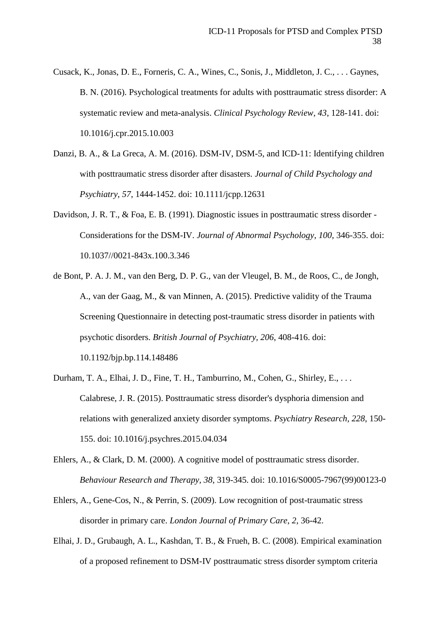- <span id="page-37-7"></span>Cusack, K., Jonas, D. E., Forneris, C. A., Wines, C., Sonis, J., Middleton, J. C., . . . Gaynes, B. N. (2016). Psychological treatments for adults with posttraumatic stress disorder: A systematic review and meta-analysis. *Clinical Psychology Review, 43*, 128-141. doi: 10.1016/j.cpr.2015.10.003
- <span id="page-37-6"></span>Danzi, B. A., & La Greca, A. M. (2016). DSM-IV, DSM-5, and ICD-11: Identifying children with posttraumatic stress disorder after disasters. *Journal of Child Psychology and Psychiatry, 57*, 1444-1452. doi: 10.1111/jcpp.12631
- <span id="page-37-3"></span>Davidson, J. R. T., & Foa, E. B. (1991). Diagnostic issues in posttraumatic stress disorder - Considerations for the DSM-IV. *Journal of Abnormal Psychology, 100*, 346-355. doi: 10.1037//0021-843x.100.3.346
- <span id="page-37-0"></span>de Bont, P. A. J. M., van den Berg, D. P. G., van der Vleugel, B. M., de Roos, C., de Jongh, A., van der Gaag, M., & van Minnen, A. (2015). Predictive validity of the Trauma Screening Questionnaire in detecting post-traumatic stress disorder in patients with psychotic disorders. *British Journal of Psychiatry, 206*, 408-416. doi: 10.1192/bjp.bp.114.148486

<span id="page-37-2"></span>Durham, T. A., Elhai, J. D., Fine, T. H., Tamburrino, M., Cohen, G., Shirley, E., . . . Calabrese, J. R. (2015). Posttraumatic stress disorder's dysphoria dimension and relations with generalized anxiety disorder symptoms. *Psychiatry Research, 228*, 150- 155. doi: 10.1016/j.psychres.2015.04.034

- <span id="page-37-5"></span>Ehlers, A., & Clark, D. M. (2000). A cognitive model of posttraumatic stress disorder. *Behaviour Research and Therapy, 38*, 319-345. doi: 10.1016/S0005-7967(99)00123-0
- <span id="page-37-1"></span>Ehlers, A., Gene-Cos, N., & Perrin, S. (2009). Low recognition of post-traumatic stress disorder in primary care. *London Journal of Primary Care, 2*, 36-42.
- <span id="page-37-4"></span>Elhai, J. D., Grubaugh, A. L., Kashdan, T. B., & Frueh, B. C. (2008). Empirical examination of a proposed refinement to DSM-IV posttraumatic stress disorder symptom criteria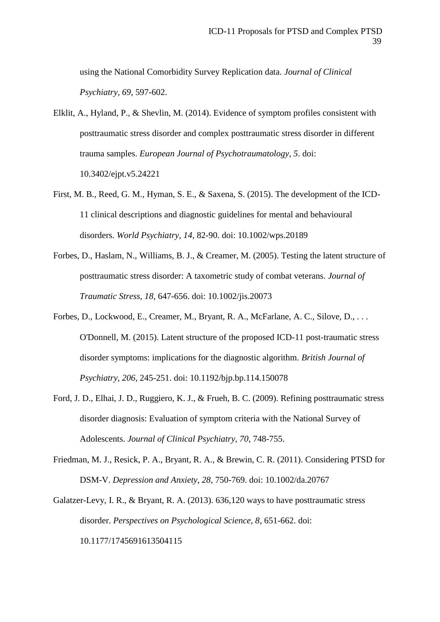using the National Comorbidity Survey Replication data. *Journal of Clinical Psychiatry, 69*, 597-602.

- <span id="page-38-6"></span>Elklit, A., Hyland, P., & Shevlin, M. (2014). Evidence of symptom profiles consistent with posttraumatic stress disorder and complex posttraumatic stress disorder in different trauma samples. *European Journal of Psychotraumatology, 5*. doi: 10.3402/ejpt.v5.24221
- <span id="page-38-0"></span>First, M. B., Reed, G. M., Hyman, S. E., & Saxena, S. (2015). The development of the ICD-11 clinical descriptions and diagnostic guidelines for mental and behavioural disorders. *World Psychiatry, 14*, 82-90. doi: 10.1002/wps.20189
- <span id="page-38-5"></span>Forbes, D., Haslam, N., Williams, B. J., & Creamer, M. (2005). Testing the latent structure of posttraumatic stress disorder: A taxometric study of combat veterans. *Journal of Traumatic Stress, 18*, 647-656. doi: 10.1002/jis.20073
- <span id="page-38-4"></span>Forbes, D., Lockwood, E., Creamer, M., Bryant, R. A., McFarlane, A. C., Silove, D., . . . O'Donnell, M. (2015). Latent structure of the proposed ICD-11 post-traumatic stress disorder symptoms: implications for the diagnostic algorithm. *British Journal of Psychiatry, 206*, 245-251. doi: 10.1192/bjp.bp.114.150078
- <span id="page-38-3"></span>Ford, J. D., Elhai, J. D., Ruggiero, K. J., & Frueh, B. C. (2009). Refining posttraumatic stress disorder diagnosis: Evaluation of symptom criteria with the National Survey of Adolescents. *Journal of Clinical Psychiatry, 70*, 748-755.
- <span id="page-38-2"></span>Friedman, M. J., Resick, P. A., Bryant, R. A., & Brewin, C. R. (2011). Considering PTSD for DSM-V. *Depression and Anxiety, 28*, 750-769. doi: 10.1002/da.20767
- <span id="page-38-1"></span>Galatzer-Levy, I. R., & Bryant, R. A. (2013). 636,120 ways to have posttraumatic stress disorder. *Perspectives on Psychological Science, 8*, 651-662. doi: 10.1177/1745691613504115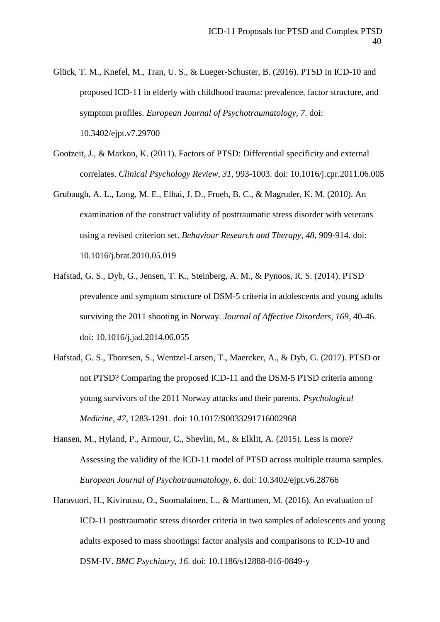- <span id="page-39-3"></span>Glück, T. M., Knefel, M., Tran, U. S., & Lueger-Schuster, B. (2016). PTSD in ICD-10 and proposed ICD-11 in elderly with childhood trauma: prevalence, factor structure, and symptom profiles. *European Journal of Psychotraumatology, 7*. doi: 10.3402/ejpt.v7.29700
- <span id="page-39-0"></span>Gootzeit, J., & Markon, K. (2011). Factors of PTSD: Differential specificity and external correlates. *Clinical Psychology Review, 31*, 993-1003. doi: 10.1016/j.cpr.2011.06.005
- <span id="page-39-1"></span>Grubaugh, A. L., Long, M. E., Elhai, J. D., Frueh, B. C., & Magruder, K. M. (2010). An examination of the construct validity of posttraumatic stress disorder with veterans using a revised criterion set. *Behaviour Research and Therapy, 48*, 909-914. doi: 10.1016/j.brat.2010.05.019
- <span id="page-39-6"></span>Hafstad, G. S., Dyb, G., Jensen, T. K., Steinberg, A. M., & Pynoos, R. S. (2014). PTSD prevalence and symptom structure of DSM-5 criteria in adolescents and young adults surviving the 2011 shooting in Norway. *Journal of Affective Disorders, 169*, 40-46. doi: 10.1016/j.jad.2014.06.055
- <span id="page-39-5"></span>Hafstad, G. S., Thoresen, S., Wentzel-Larsen, T., Maercker, A., & Dyb, G. (2017). PTSD or not PTSD? Comparing the proposed ICD-11 and the DSM-5 PTSD criteria among young survivors of the 2011 Norway attacks and their parents. *Psychological Medicine, 47*, 1283-1291. doi: 10.1017/S0033291716002968
- <span id="page-39-4"></span>Hansen, M., Hyland, P., Armour, C., Shevlin, M., & Elklit, A. (2015). Less is more? Assessing the validity of the ICD-11 model of PTSD across multiple trauma samples. *European Journal of Psychotraumatology, 6*. doi: 10.3402/ejpt.v6.28766
- <span id="page-39-2"></span>Haravuori, H., Kiviruusu, O., Suomalainen, L., & Marttunen, M. (2016). An evaluation of ICD-11 posttraumatic stress disorder criteria in two samples of adolescents and young adults exposed to mass shootings: factor analysis and comparisons to ICD-10 and DSM-IV. *BMC Psychiatry, 16*. doi: 10.1186/s12888-016-0849-y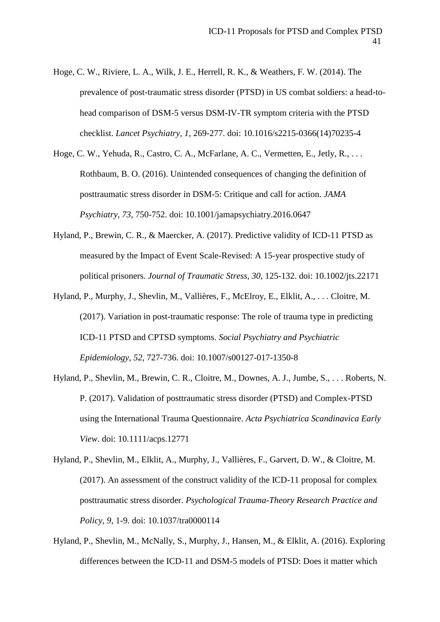- <span id="page-40-2"></span>Hoge, C. W., Riviere, L. A., Wilk, J. E., Herrell, R. K., & Weathers, F. W. (2014). The prevalence of post-traumatic stress disorder (PTSD) in US combat soldiers: a head-tohead comparison of DSM-5 versus DSM-IV-TR symptom criteria with the PTSD checklist. *Lancet Psychiatry, 1*, 269-277. doi: 10.1016/s2215-0366(14)70235-4
- <span id="page-40-6"></span>Hoge, C. W., Yehuda, R., Castro, C. A., McFarlane, A. C., Vermetten, E., Jetly, R., ... Rothbaum, B. O. (2016). Unintended consequences of changing the definition of posttraumatic stress disorder in DSM-5: Critique and call for action. *JAMA Psychiatry, 73*, 750-752. doi: 10.1001/jamapsychiatry.2016.0647
- <span id="page-40-0"></span>Hyland, P., Brewin, C. R., & Maercker, A. (2017). Predictive validity of ICD-11 PTSD as measured by the Impact of Event Scale-Revised: A 15-year prospective study of political prisoners. *Journal of Traumatic Stress, 30*, 125-132. doi: 10.1002/jts.22171
- <span id="page-40-5"></span>Hyland, P., Murphy, J., Shevlin, M., Vallières, F., McElroy, E., Elklit, A., . . . Cloitre, M. (2017). Variation in post-traumatic response: The role of trauma type in predicting ICD-11 PTSD and CPTSD symptoms. *Social Psychiatry and Psychiatric Epidemiology, 52*, 727-736. doi: 10.1007/s00127-017-1350-8
- <span id="page-40-3"></span>Hyland, P., Shevlin, M., Brewin, C. R., Cloitre, M., Downes, A. J., Jumbe, S., . . . Roberts, N. P. (2017). Validation of posttraumatic stress disorder (PTSD) and Complex-PTSD using the International Trauma Questionnaire. *Acta Psychiatrica Scandinavica Early View*. doi: 10.1111/acps.12771
- <span id="page-40-4"></span>Hyland, P., Shevlin, M., Elklit, A., Murphy, J., Vallières, F., Garvert, D. W., & Cloitre, M. (2017). An assessment of the construct validity of the ICD-11 proposal for complex posttraumatic stress disorder. *Psychological Trauma-Theory Research Practice and Policy, 9*, 1-9. doi: 10.1037/tra0000114
- <span id="page-40-1"></span>Hyland, P., Shevlin, M., McNally, S., Murphy, J., Hansen, M., & Elklit, A. (2016). Exploring differences between the ICD-11 and DSM-5 models of PTSD: Does it matter which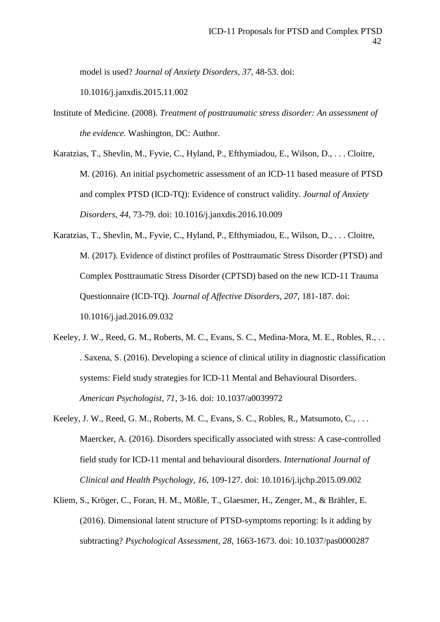model is used? *Journal of Anxiety Disorders, 37*, 48-53. doi:

10.1016/j.janxdis.2015.11.002

- <span id="page-41-5"></span>Institute of Medicine. (2008). *Treatment of posttraumatic stress disorder: An assessment of the evidence*. Washington, DC: Author.
- <span id="page-41-3"></span>Karatzias, T., Shevlin, M., Fyvie, C., Hyland, P., Efthymiadou, E., Wilson, D., . . . Cloitre, M. (2016). An initial psychometric assessment of an ICD-11 based measure of PTSD and complex PTSD (ICD-TQ): Evidence of construct validity. *Journal of Anxiety Disorders, 44*, 73-79. doi: 10.1016/j.janxdis.2016.10.009
- <span id="page-41-4"></span>Karatzias, T., Shevlin, M., Fyvie, C., Hyland, P., Efthymiadou, E., Wilson, D., . . . Cloitre, M. (2017). Evidence of distinct profiles of Posttraumatic Stress Disorder (PTSD) and Complex Posttraumatic Stress Disorder (CPTSD) based on the new ICD-11 Trauma Questionnaire (ICD-TQ). *Journal of Affective Disorders, 207*, 181-187. doi: 10.1016/j.jad.2016.09.032
- <span id="page-41-1"></span>Keeley, J. W., Reed, G. M., Roberts, M. C., Evans, S. C., Medina-Mora, M. E., Robles, R., .. . Saxena, S. (2016). Developing a science of clinical utility in diagnostic classification systems: Field study strategies for ICD-11 Mental and Behavioural Disorders. *American Psychologist, 71*, 3-16. doi: 10.1037/a0039972
- <span id="page-41-2"></span>Keeley, J. W., Reed, G. M., Roberts, M. C., Evans, S. C., Robles, R., Matsumoto, C., . . . Maercker, A. (2016). Disorders specifically associated with stress: A case-controlled field study for ICD-11 mental and behavioural disorders. *International Journal of Clinical and Health Psychology, 16*, 109-127. doi: 10.1016/j.ijchp.2015.09.002
- <span id="page-41-0"></span>Kliem, S., Kröger, C., Foran, H. M., Mößle, T., Glaesmer, H., Zenger, M., & Brähler, E. (2016). Dimensional latent structure of PTSD-symptoms reporting: Is it adding by subtracting? *Psychological Assessment, 28*, 1663-1673. doi: 10.1037/pas0000287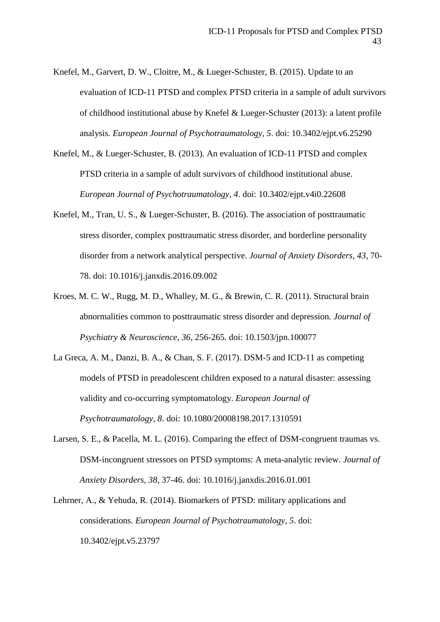- <span id="page-42-5"></span>Knefel, M., Garvert, D. W., Cloitre, M., & Lueger-Schuster, B. (2015). Update to an evaluation of ICD-11 PTSD and complex PTSD criteria in a sample of adult survivors of childhood institutional abuse by Knefel & Lueger-Schuster (2013): a latent profile analysis. *European Journal of Psychotraumatology, 5*. doi: 10.3402/ejpt.v6.25290
- Knefel, M., & Lueger-Schuster, B. (2013). An evaluation of ICD-11 PTSD and complex PTSD criteria in a sample of adult survivors of childhood institutional abuse. *European Journal of Psychotraumatology, 4*. doi: 10.3402/ejpt.v4i0.22608
- <span id="page-42-4"></span>Knefel, M., Tran, U. S., & Lueger-Schuster, B. (2016). The association of posttraumatic stress disorder, complex posttraumatic stress disorder, and borderline personality disorder from a network analytical perspective. *Journal of Anxiety Disorders, 43*, 70- 78. doi: 10.1016/j.janxdis.2016.09.002
- <span id="page-42-2"></span>Kroes, M. C. W., Rugg, M. D., Whalley, M. G., & Brewin, C. R. (2011). Structural brain abnormalities common to posttraumatic stress disorder and depression. *Journal of Psychiatry & Neuroscience, 36*, 256-265. doi: 10.1503/jpn.100077
- <span id="page-42-3"></span>La Greca, A. M., Danzi, B. A., & Chan, S. F. (2017). DSM-5 and ICD-11 as competing models of PTSD in preadolescent children exposed to a natural disaster: assessing validity and co-occurring symptomatology. *European Journal of Psychotraumatology, 8*. doi: 10.1080/20008198.2017.1310591
- <span id="page-42-0"></span>Larsen, S. E., & Pacella, M. L. (2016). Comparing the effect of DSM-congruent traumas vs. DSM-incongruent stressors on PTSD symptoms: A meta-analytic review. *Journal of Anxiety Disorders, 38*, 37-46. doi: 10.1016/j.janxdis.2016.01.001
- <span id="page-42-1"></span>Lehrner, A., & Yehuda, R. (2014). Biomarkers of PTSD: military applications and considerations. *European Journal of Psychotraumatology, 5*. doi: 10.3402/ejpt.v5.23797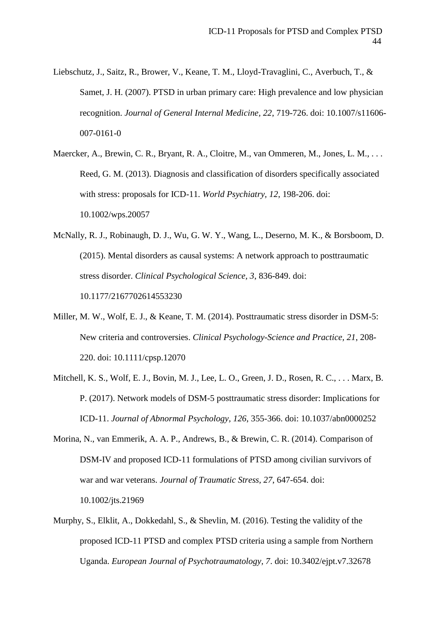- <span id="page-43-2"></span>Liebschutz, J., Saitz, R., Brower, V., Keane, T. M., Lloyd-Travaglini, C., Averbuch, T., & Samet, J. H. (2007). PTSD in urban primary care: High prevalence and low physician recognition. *Journal of General Internal Medicine, 22*, 719-726. doi: 10.1007/s11606- 007-0161-0
- <span id="page-43-0"></span>Maercker, A., Brewin, C. R., Bryant, R. A., Cloitre, M., van Ommeren, M., Jones, L. M., ... Reed, G. M. (2013). Diagnosis and classification of disorders specifically associated with stress: proposals for ICD-11. *World Psychiatry, 12*, 198-206. doi: 10.1002/wps.20057
- <span id="page-43-3"></span>McNally, R. J., Robinaugh, D. J., Wu, G. W. Y., Wang, L., Deserno, M. K., & Borsboom, D. (2015). Mental disorders as causal systems: A network approach to posttraumatic stress disorder. *Clinical Psychological Science, 3*, 836-849. doi: 10.1177/2167702614553230
- <span id="page-43-1"></span>Miller, M. W., Wolf, E. J., & Keane, T. M. (2014). Posttraumatic stress disorder in DSM-5: New criteria and controversies. *Clinical Psychology-Science and Practice, 21*, 208- 220. doi: 10.1111/cpsp.12070
- <span id="page-43-4"></span>Mitchell, K. S., Wolf, E. J., Bovin, M. J., Lee, L. O., Green, J. D., Rosen, R. C., . . . Marx, B. P. (2017). Network models of DSM-5 posttraumatic stress disorder: Implications for ICD-11. *Journal of Abnormal Psychology, 126*, 355-366. doi: 10.1037/abn0000252
- <span id="page-43-5"></span>Morina, N., van Emmerik, A. A. P., Andrews, B., & Brewin, C. R. (2014). Comparison of DSM-IV and proposed ICD-11 formulations of PTSD among civilian survivors of war and war veterans. *Journal of Traumatic Stress, 27*, 647-654. doi: 10.1002/jts.21969
- <span id="page-43-6"></span>Murphy, S., Elklit, A., Dokkedahl, S., & Shevlin, M. (2016). Testing the validity of the proposed ICD-11 PTSD and complex PTSD criteria using a sample from Northern Uganda. *European Journal of Psychotraumatology, 7*. doi: 10.3402/ejpt.v7.32678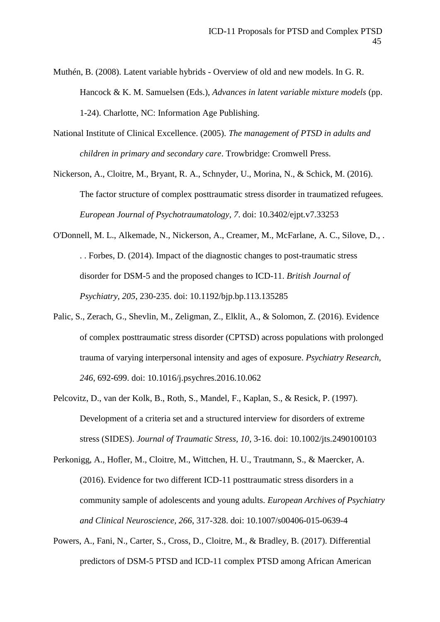- <span id="page-44-4"></span>Muthén, B. (2008). Latent variable hybrids - Overview of old and new models. In G. R. Hancock & K. M. Samuelsen (Eds.), *Advances in latent variable mixture models* (pp. 1-24). Charlotte, NC: Information Age Publishing.
- <span id="page-44-6"></span>National Institute of Clinical Excellence. (2005). *The management of PTSD in adults and children in primary and secondary care*. Trowbridge: Cromwell Press.
- <span id="page-44-5"></span>Nickerson, A., Cloitre, M., Bryant, R. A., Schnyder, U., Morina, N., & Schick, M. (2016). The factor structure of complex posttraumatic stress disorder in traumatized refugees. *European Journal of Psychotraumatology, 7*. doi: 10.3402/ejpt.v7.33253
- <span id="page-44-1"></span>O'Donnell, M. L., Alkemade, N., Nickerson, A., Creamer, M., McFarlane, A. C., Silove, D., . . . Forbes, D. (2014). Impact of the diagnostic changes to post-traumatic stress disorder for DSM-5 and the proposed changes to ICD-11. *British Journal of Psychiatry, 205*, 230-235. doi: 10.1192/bjp.bp.113.135285
- <span id="page-44-3"></span>Palic, S., Zerach, G., Shevlin, M., Zeligman, Z., Elklit, A., & Solomon, Z. (2016). Evidence of complex posttraumatic stress disorder (CPTSD) across populations with prolonged trauma of varying interpersonal intensity and ages of exposure. *Psychiatry Research, 246*, 692-699. doi: 10.1016/j.psychres.2016.10.062
- <span id="page-44-0"></span>Pelcovitz, D., van der Kolk, B., Roth, S., Mandel, F., Kaplan, S., & Resick, P. (1997). Development of a criteria set and a structured interview for disorders of extreme stress (SIDES). *Journal of Traumatic Stress, 10*, 3-16. doi: 10.1002/jts.2490100103
- <span id="page-44-2"></span>Perkonigg, A., Hofler, M., Cloitre, M., Wittchen, H. U., Trautmann, S., & Maercker, A. (2016). Evidence for two different ICD-11 posttraumatic stress disorders in a community sample of adolescents and young adults. *European Archives of Psychiatry and Clinical Neuroscience, 266*, 317-328. doi: 10.1007/s00406-015-0639-4
- <span id="page-44-7"></span>Powers, A., Fani, N., Carter, S., Cross, D., Cloitre, M., & Bradley, B. (2017). Differential predictors of DSM-5 PTSD and ICD-11 complex PTSD among African American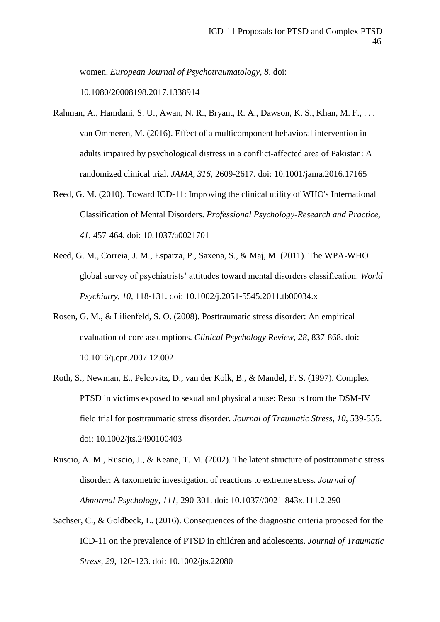women. *European Journal of Psychotraumatology, 8*. doi:

10.1080/20008198.2017.1338914

- <span id="page-45-5"></span>Rahman, A., Hamdani, S. U., Awan, N. R., Bryant, R. A., Dawson, K. S., Khan, M. F., . . . van Ommeren, M. (2016). Effect of a multicomponent behavioral intervention in adults impaired by psychological distress in a conflict-affected area of Pakistan: A randomized clinical trial. *JAMA, 316*, 2609-2617. doi: 10.1001/jama.2016.17165
- <span id="page-45-6"></span>Reed, G. M. (2010). Toward ICD-11: Improving the clinical utility of WHO's International Classification of Mental Disorders. *Professional Psychology-Research and Practice, 41*, 457-464. doi: 10.1037/a0021701
- <span id="page-45-3"></span>Reed, G. M., Correia, J. M., Esparza, P., Saxena, S., & Maj, M. (2011). The WPA-WHO global survey of psychiatrists' attitudes toward mental disorders classification. *World Psychiatry, 10*, 118-131. doi: 10.1002/j.2051-5545.2011.tb00034.x
- <span id="page-45-4"></span>Rosen, G. M., & Lilienfeld, S. O. (2008). Posttraumatic stress disorder: An empirical evaluation of core assumptions. *Clinical Psychology Review, 28*, 837-868. doi: 10.1016/j.cpr.2007.12.002
- <span id="page-45-0"></span>Roth, S., Newman, E., Pelcovitz, D., van der Kolk, B., & Mandel, F. S. (1997). Complex PTSD in victims exposed to sexual and physical abuse: Results from the DSM-IV field trial for posttraumatic stress disorder. *Journal of Traumatic Stress, 10*, 539-555. doi: 10.1002/jts.2490100403
- <span id="page-45-1"></span>Ruscio, A. M., Ruscio, J., & Keane, T. M. (2002). The latent structure of posttraumatic stress disorder: A taxometric investigation of reactions to extreme stress. *Journal of Abnormal Psychology, 111*, 290-301. doi: 10.1037//0021-843x.111.2.290
- <span id="page-45-2"></span>Sachser, C., & Goldbeck, L. (2016). Consequences of the diagnostic criteria proposed for the ICD-11 on the prevalence of PTSD in children and adolescents. *Journal of Traumatic Stress, 29*, 120-123. doi: 10.1002/jts.22080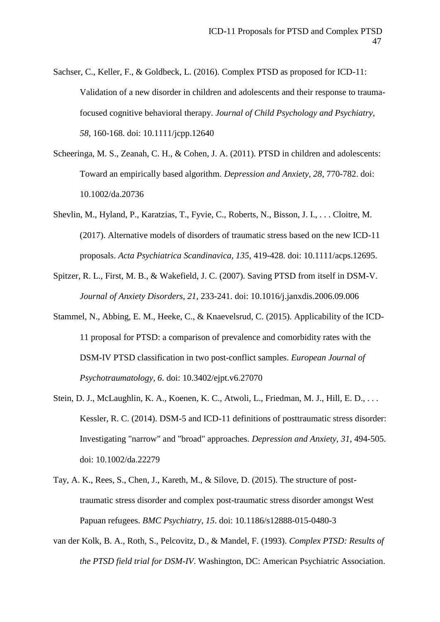- <span id="page-46-5"></span>Sachser, C., Keller, F., & Goldbeck, L. (2016). Complex PTSD as proposed for ICD-11: Validation of a new disorder in children and adolescents and their response to traumafocused cognitive behavioral therapy. *Journal of Child Psychology and Psychiatry, 58*, 160-168. doi: 10.1111/jcpp.12640
- <span id="page-46-7"></span>Scheeringa, M. S., Zeanah, C. H., & Cohen, J. A. (2011). PTSD in children and adolescents: Toward an empirically based algorithm. *Depression and Anxiety, 28*, 770-782. doi: 10.1002/da.20736
- <span id="page-46-6"></span>Shevlin, M., Hyland, P., Karatzias, T., Fyvie, C., Roberts, N., Bisson, J. I., . . . Cloitre, M. (2017). Alternative models of disorders of traumatic stress based on the new ICD-11 proposals. *Acta Psychiatrica Scandinavica, 135*, 419-428. doi: 10.1111/acps.12695.
- <span id="page-46-0"></span>Spitzer, R. L., First, M. B., & Wakefield, J. C. (2007). Saving PTSD from itself in DSM-V. *Journal of Anxiety Disorders, 21*, 233-241. doi: 10.1016/j.janxdis.2006.09.006
- <span id="page-46-4"></span>Stammel, N., Abbing, E. M., Heeke, C., & Knaevelsrud, C. (2015). Applicability of the ICD-11 proposal for PTSD: a comparison of prevalence and comorbidity rates with the DSM-IV PTSD classification in two post-conflict samples. *European Journal of Psychotraumatology, 6*. doi: 10.3402/ejpt.v6.27070
- <span id="page-46-3"></span>Stein, D. J., McLaughlin, K. A., Koenen, K. C., Atwoli, L., Friedman, M. J., Hill, E. D., . . . Kessler, R. C. (2014). DSM-5 and ICD-11 definitions of posttraumatic stress disorder: Investigating "narrow" and "broad" approaches. *Depression and Anxiety, 31*, 494-505. doi: 10.1002/da.22279
- <span id="page-46-2"></span>Tay, A. K., Rees, S., Chen, J., Kareth, M., & Silove, D. (2015). The structure of posttraumatic stress disorder and complex post-traumatic stress disorder amongst West Papuan refugees. *BMC Psychiatry, 15*. doi: 10.1186/s12888-015-0480-3
- <span id="page-46-1"></span>van der Kolk, B. A., Roth, S., Pelcovitz, D., & Mandel, F. (1993). *Complex PTSD: Results of the PTSD field trial for DSM-IV*. Washington, DC: American Psychiatric Association.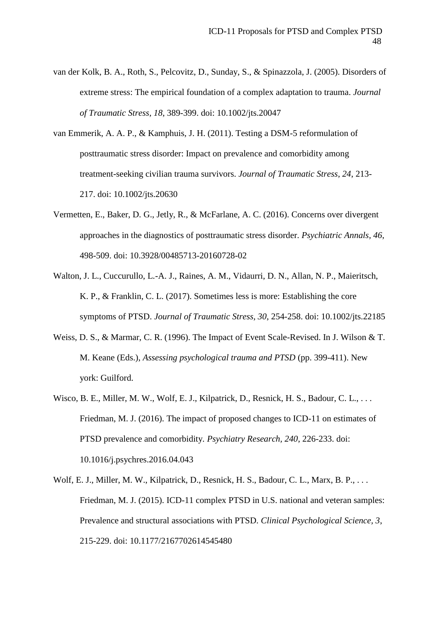- <span id="page-47-0"></span>van der Kolk, B. A., Roth, S., Pelcovitz, D., Sunday, S., & Spinazzola, J. (2005). Disorders of extreme stress: The empirical foundation of a complex adaptation to trauma. *Journal of Traumatic Stress, 18*, 389-399. doi: 10.1002/jts.20047
- <span id="page-47-2"></span>van Emmerik, A. A. P., & Kamphuis, J. H. (2011). Testing a DSM-5 reformulation of posttraumatic stress disorder: Impact on prevalence and comorbidity among treatment-seeking civilian trauma survivors. *Journal of Traumatic Stress, 24*, 213- 217. doi: 10.1002/jts.20630
- <span id="page-47-4"></span>Vermetten, E., Baker, D. G., Jetly, R., & McFarlane, A. C. (2016). Concerns over divergent approaches in the diagnostics of posttraumatic stress disorder. *Psychiatric Annals, 46*, 498-509. doi: 10.3928/00485713-20160728-02
- Walton, J. L., Cuccurullo, L.-A. J., Raines, A. M., Vidaurri, D. N., Allan, N. P., Maieritsch, K. P., & Franklin, C. L. (2017). Sometimes less is more: Establishing the core symptoms of PTSD. *Journal of Traumatic Stress, 30*, 254-258. doi: 10.1002/jts.22185
- <span id="page-47-1"></span>Weiss, D. S., & Marmar, C. R. (1996). The Impact of Event Scale-Revised. In J. Wilson & T. M. Keane (Eds.), *Assessing psychological trauma and PTSD* (pp. 399-411). New york: Guilford.
- Wisco, B. E., Miller, M. W., Wolf, E. J., Kilpatrick, D., Resnick, H. S., Badour, C. L., . . . Friedman, M. J. (2016). The impact of proposed changes to ICD-11 on estimates of PTSD prevalence and comorbidity. *Psychiatry Research, 240*, 226-233. doi: 10.1016/j.psychres.2016.04.043
- <span id="page-47-3"></span>Wolf, E. J., Miller, M. W., Kilpatrick, D., Resnick, H. S., Badour, C. L., Marx, B. P., . . . Friedman, M. J. (2015). ICD-11 complex PTSD in U.S. national and veteran samples: Prevalence and structural associations with PTSD. *Clinical Psychological Science, 3*, 215-229. doi: 10.1177/2167702614545480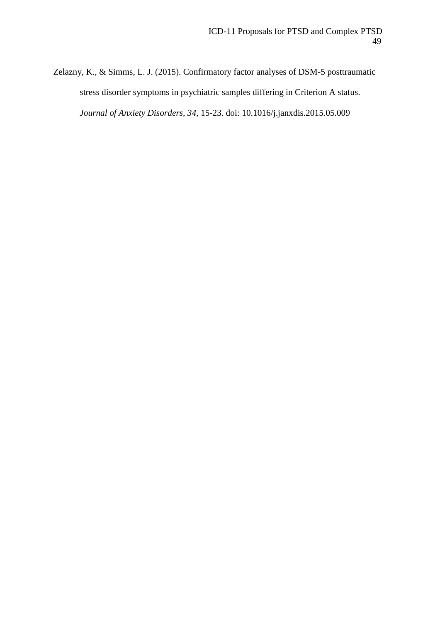<span id="page-48-0"></span>Zelazny, K., & Simms, L. J. (2015). Confirmatory factor analyses of DSM-5 posttraumatic stress disorder symptoms in psychiatric samples differing in Criterion A status. *Journal of Anxiety Disorders, 34*, 15-23. doi: 10.1016/j.janxdis.2015.05.009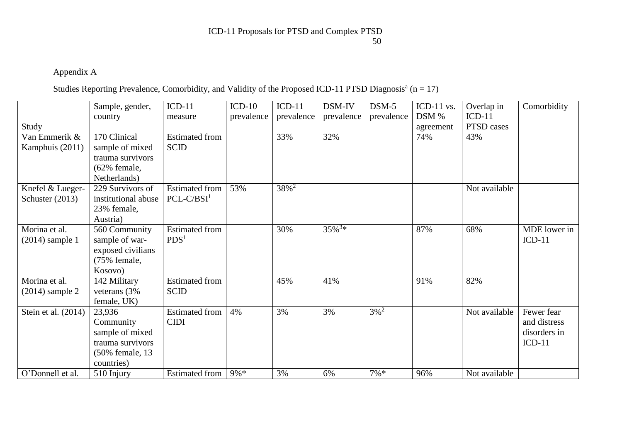# Appendix A

# Studies Reporting Prevalence, Comorbidity, and Validity of the Proposed ICD-11 PTSD Diagnosis<sup>a</sup> (n = 17)

|                     | Sample, gender,     | $ICD-11$              | $ICD-10$   | $ICD-11$   | DSM-IV      | $DSM-5$    | ICD-11 $vs.$ | Overlap in    | Comorbidity  |
|---------------------|---------------------|-----------------------|------------|------------|-------------|------------|--------------|---------------|--------------|
|                     | country             | measure               | prevalence | prevalence | prevalence  | prevalence | DSM %        | $ICD-11$      |              |
| Study               |                     |                       |            |            |             |            | agreement    | PTSD cases    |              |
| Van Emmerik &       | 170 Clinical        | <b>Estimated from</b> |            | 33%        | 32%         |            | 74%          | 43%           |              |
| Kamphuis (2011)     | sample of mixed     | <b>SCID</b>           |            |            |             |            |              |               |              |
|                     | trauma survivors    |                       |            |            |             |            |              |               |              |
|                     | (62% female,        |                       |            |            |             |            |              |               |              |
|                     | Netherlands)        |                       |            |            |             |            |              |               |              |
| Knefel & Lueger-    | 229 Survivors of    | <b>Estimated from</b> | 53%        | $38\%^{2}$ |             |            |              | Not available |              |
| Schuster $(2013)$   | institutional abuse | $PCL-C/BSI1$          |            |            |             |            |              |               |              |
|                     | 23% female,         |                       |            |            |             |            |              |               |              |
|                     | Austria)            |                       |            |            |             |            |              |               |              |
| Morina et al.       | 560 Community       | <b>Estimated from</b> |            | 30%        | $35\%^{3*}$ |            | 87%          | 68%           | MDE lower in |
| $(2014)$ sample 1   | sample of war-      | PDS <sup>1</sup>      |            |            |             |            |              |               | $ICD-11$     |
|                     | exposed civilians   |                       |            |            |             |            |              |               |              |
|                     | (75% female,        |                       |            |            |             |            |              |               |              |
|                     | Kosovo)             |                       |            |            |             |            |              |               |              |
| Morina et al.       | 142 Military        | <b>Estimated from</b> |            | 45%        | 41%         |            | 91%          | 82%           |              |
| $(2014)$ sample 2   | veterans (3%        | <b>SCID</b>           |            |            |             |            |              |               |              |
|                     | female, UK)         |                       |            |            |             |            |              |               |              |
| Stein et al. (2014) | 23,936              | <b>Estimated from</b> | 4%         | 3%         | 3%          | $3\%^{2}$  |              | Not available | Fewer fear   |
|                     | Community           | <b>CIDI</b>           |            |            |             |            |              |               | and distress |
|                     | sample of mixed     |                       |            |            |             |            |              |               | disorders in |
|                     | trauma survivors    |                       |            |            |             |            |              |               | $ICD-11$     |
|                     | (50% female, 13     |                       |            |            |             |            |              |               |              |
|                     | countries)          |                       |            |            |             |            |              |               |              |
| O'Donnell et al.    | 510 Injury          | <b>Estimated from</b> | $9\% *$    | 3%         | 6%          | $7\% *$    | 96%          | Not available |              |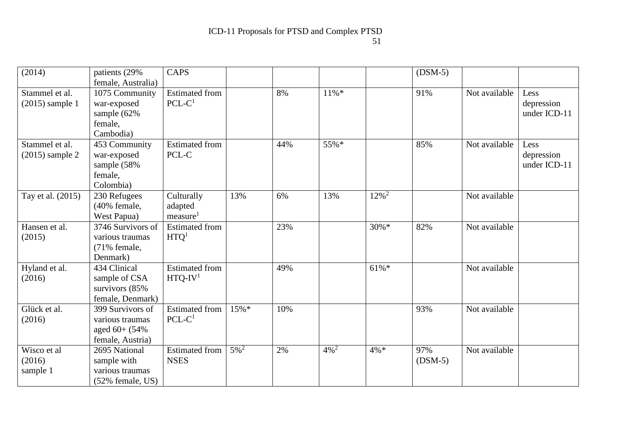| (2014)                              | patients (29%                                                                         | <b>CAPS</b>                                   |         |     |           |                     | $(DSM-5)$        |               |                                    |
|-------------------------------------|---------------------------------------------------------------------------------------|-----------------------------------------------|---------|-----|-----------|---------------------|------------------|---------------|------------------------------------|
|                                     | female, Australia)                                                                    |                                               |         |     |           |                     |                  |               |                                    |
| Stammel et al.<br>$(2015)$ sample 1 | 1075 Community<br>war-exposed<br>sample (62%<br>female,<br>Cambodia)                  | <b>Estimated from</b><br>$PCL-C1$             |         | 8%  | $11\% *$  |                     | 91%              | Not available | Less<br>depression<br>under ICD-11 |
| Stammel et al.<br>$(2015)$ sample 2 | 453 Community<br>war-exposed<br>sample (58%<br>female,<br>Colombia)                   | <b>Estimated from</b><br>PCL-C                |         | 44% | 55%*      |                     | 85%              | Not available | Less<br>depression<br>under ICD-11 |
| Tay et al. (2015)                   | 230 Refugees<br>(40% female,<br>West Papua)                                           | Culturally<br>adapted<br>measure <sup>1</sup> | 13%     | 6%  | 13%       | $12\%$ <sup>2</sup> |                  | Not available |                                    |
| Hansen et al.<br>(2015)             | 3746 Survivors of<br>various traumas<br>(71% female,<br>Denmark)                      | <b>Estimated from</b><br>HTQ <sup>1</sup>     |         | 23% |           | $30\% *$            | 82%              | Not available |                                    |
| Hyland et al.<br>(2016)             | 434 Clinical<br>sample of CSA<br>survivors (85%<br>female, Denmark)                   | <b>Estimated</b> from<br>$HTQ-IV1$            |         | 49% |           | 61%*                |                  | Not available |                                    |
| Glück et al.<br>(2016)              | 399 Survivors of<br>various traumas<br>aged 60+ (54%<br>female, Austria)              | <b>Estimated from</b><br>$PCL-C1$             | 15%*    | 10% |           |                     | 93%              | Not available |                                    |
| Wisco et al<br>(2016)<br>sample 1   | 2695 National<br>sample with<br>various traumas<br>$(52\% \text{ female}, \text{US})$ | <b>Estimated from</b><br><b>NSES</b>          | $5\%^2$ | 2%  | $4\%^{2}$ | $4\% *$             | 97%<br>$(DSM-5)$ | Not available |                                    |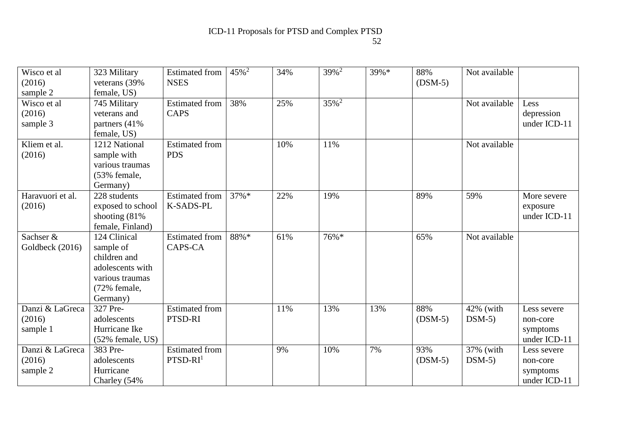| Wisco et al<br>(2016)                      | 323 Military<br>veterans (39%)                                                                               | <b>Estimated from</b><br><b>NSES</b>    | $45\%^2$ | 34% | $39\overline{\%}^2$ | 39%* | 88%<br>$(DSM-5)$ | Not available        |                                                     |
|--------------------------------------------|--------------------------------------------------------------------------------------------------------------|-----------------------------------------|----------|-----|---------------------|------|------------------|----------------------|-----------------------------------------------------|
| sample 2                                   | female, US)                                                                                                  |                                         |          |     |                     |      |                  |                      |                                                     |
| Wisco et al<br>(2016)<br>sample 3          | 745 Military<br>veterans and<br>partners (41%)<br>female, US)                                                | <b>Estimated from</b><br><b>CAPS</b>    | 38%      | 25% | $35\sqrt{2}$        |      |                  | Not available        | Less<br>depression<br>under ICD-11                  |
| Kliem et al.<br>(2016)                     | 1212 National<br>sample with<br>various traumas<br>(53% female,<br>Germany)                                  | <b>Estimated from</b><br><b>PDS</b>     |          | 10% | 11%                 |      |                  | Not available        |                                                     |
| Haravuori et al.<br>(2016)                 | 228 students<br>exposed to school<br>shooting $(81\%$<br>female, Finland)                                    | <b>Estimated from</b><br>K-SADS-PL      | 37%*     | 22% | 19%                 |      | 89%              | 59%                  | More severe<br>exposure<br>under ICD-11             |
| Sachser $\overline{\&}$<br>Goldbeck (2016) | 124 Clinical<br>sample of<br>children and<br>adolescents with<br>various traumas<br>(72% female,<br>Germany) | <b>Estimated from</b><br><b>CAPS-CA</b> | 88%*     | 61% | 76%*                |      | 65%              | Not available        |                                                     |
| Danzi & LaGreca<br>(2016)<br>sample 1      | 327 Pre-<br>adolescents<br>Hurricane Ike<br>$(52\%$ female, US)                                              | <b>Estimated from</b><br>PTSD-RI        |          | 11% | 13%                 | 13%  | 88%<br>$(DSM-5)$ | 42% (with<br>$DSM-5$ | Less severe<br>non-core<br>symptoms<br>under ICD-11 |
| Danzi & LaGreca<br>(2016)<br>sample 2      | 383 Pre-<br>adolescents<br>Hurricane<br>Charley (54%                                                         | <b>Estimated from</b><br>$PTSD-RI1$     |          | 9%  | 10%                 | 7%   | 93%<br>$(DSM-5)$ | 37% (with<br>$DSM-5$ | Less severe<br>non-core<br>symptoms<br>under ICD-11 |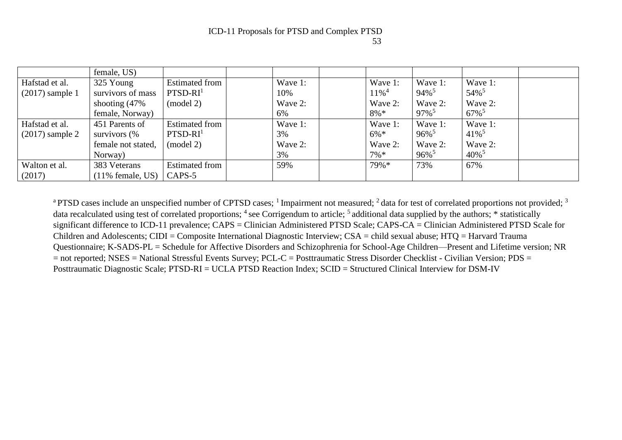|                   | female, US)         |                       |         |                     |                     |                     |  |
|-------------------|---------------------|-----------------------|---------|---------------------|---------------------|---------------------|--|
| Hafstad et al.    | 325 Young           | <b>Estimated from</b> | Wave 1: | Wave 1:             | Wave 1:             | Wave 1:             |  |
| $(2017)$ sample 1 | survivors of mass   | $PTSD-RI1$            | 10%     | $11\%$ <sup>4</sup> | $94\%$ <sup>5</sup> | 54% <sup>5</sup>    |  |
|                   | shooting $(47\%$    | (mod 2)               | Wave 2: | Wave 2:             | Wave 2:             | Wave 2:             |  |
|                   | female, Norway)     |                       | 6%      | $8\% *$             | $97\%$ <sup>5</sup> | 67% <sup>5</sup>    |  |
| Hafstad et al.    | 451 Parents of      | <b>Estimated from</b> | Wave 1: | Wave 1:             | Wave 1:             | Wave 1:             |  |
| $(2017)$ sample 2 | survivors (%        | $PTSD-RI1$            | 3%      | $6\% *$             | $96\%$ <sup>5</sup> | $41\%$ <sup>5</sup> |  |
|                   | female not stated,  | (mod 2)               | Wave 2: | Wave 2:             | Wave 2:             | Wave 2:             |  |
|                   | Norway)             |                       | 3%      | $7\% *$             | $96\%$ <sup>5</sup> | $40\%$ <sup>5</sup> |  |
| Walton et al.     | 383 Veterans        | <b>Estimated from</b> | 59%     | 79%*                | 73%                 | 67%                 |  |
| (2017)            | $(11\%$ female, US) | CAPS-5                |         |                     |                     |                     |  |

<sup>a</sup> PTSD cases include an unspecified number of CPTSD cases; <sup>1</sup> Impairment not measured; <sup>2</sup> data for test of correlated proportions not provided; <sup>3</sup> data recalculated using test of correlated proportions; <sup>4</sup> see Corrigendum to article; <sup>5</sup> additional data supplied by the authors; \* statistically significant difference to ICD-11 prevalence; CAPS = Clinician Administered PTSD Scale; CAPS-CA = Clinician Administered PTSD Scale for Children and Adolescents; CIDI = Composite International Diagnostic Interview; CSA = child sexual abuse; HTQ = Harvard Trauma Questionnaire; K-SADS-PL = Schedule for Affective Disorders and Schizophrenia for School-Age Children—Present and Lifetime version; NR = not reported; NSES = National Stressful Events Survey; PCL-C = Posttraumatic Stress Disorder Checklist - Civilian Version; PDS = Posttraumatic Diagnostic Scale; PTSD-RI = UCLA PTSD Reaction Index; SCID = Structured Clinical Interview for DSM-IV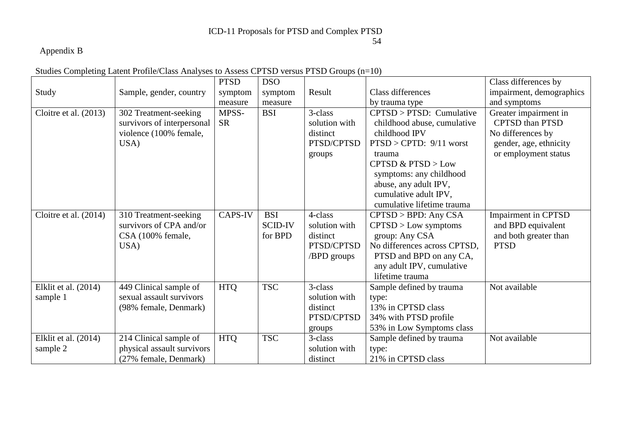# ICD-11 Proposals for PTSD and Complex PTSD 54

# Appendix B

|  | Studies Completing Latent Profile/Class Analyses to Assess CPTSD versus PTSD Groups (n=10) |  |
|--|--------------------------------------------------------------------------------------------|--|
|  |                                                                                            |  |

|                         |                            | <b>PTSD</b>    | <b>DSO</b>     |               |                              | Class differences by     |
|-------------------------|----------------------------|----------------|----------------|---------------|------------------------------|--------------------------|
| Study                   | Sample, gender, country    | symptom        | symptom        | Result        | Class differences            | impairment, demographics |
|                         |                            | measure        | measure        |               | by trauma type               | and symptoms             |
| Cloitre et al. $(2013)$ | 302 Treatment-seeking      | MPSS-          | <b>BSI</b>     | 3-class       | $CPTSD > PTSD$ : Cumulative  | Greater impairment in    |
|                         | survivors of interpersonal | <b>SR</b>      |                | solution with | childhood abuse, cumulative  | <b>CPTSD</b> than PTSD   |
|                         | violence (100% female,     |                |                | distinct      | childhood IPV                | No differences by        |
|                         | USA)                       |                |                | PTSD/CPTSD    | $PTSD > CPTD$ : 9/11 worst   | gender, age, ethnicity   |
|                         |                            |                |                | groups        | trauma                       | or employment status     |
|                         |                            |                |                |               | CPTSD & PTSD > Low           |                          |
|                         |                            |                |                |               | symptoms: any childhood      |                          |
|                         |                            |                |                |               | abuse, any adult IPV,        |                          |
|                         |                            |                |                |               | cumulative adult IPV,        |                          |
|                         |                            |                |                |               | cumulative lifetime trauma   |                          |
| Cloitre et al. $(2014)$ | 310 Treatment-seeking      | <b>CAPS-IV</b> | <b>BSI</b>     | 4-class       | CPTSD > BPD: Any CSA         | Impairment in CPTSD      |
|                         | survivors of CPA and/or    |                | <b>SCID-IV</b> | solution with | $CPTSD > Low$ symptoms       | and BPD equivalent       |
|                         | CSA (100% female,          |                | for BPD        | distinct      | group: Any CSA               | and both greater than    |
|                         | USA)                       |                |                | PTSD/CPTSD    | No differences across CPTSD, | <b>PTSD</b>              |
|                         |                            |                |                | /BPD groups   | PTSD and BPD on any CA,      |                          |
|                         |                            |                |                |               | any adult IPV, cumulative    |                          |
|                         |                            |                |                |               | lifetime trauma              |                          |
| Elklit et al. (2014)    | 449 Clinical sample of     | <b>HTQ</b>     | <b>TSC</b>     | 3-class       | Sample defined by trauma     | Not available            |
| sample 1                | sexual assault survivors   |                |                | solution with | type:                        |                          |
|                         | (98% female, Denmark)      |                |                | distinct      | 13% in CPTSD class           |                          |
|                         |                            |                |                | PTSD/CPTSD    | 34% with PTSD profile        |                          |
|                         |                            |                |                | groups        | 53% in Low Symptoms class    |                          |
| Elklit et al. $(2014)$  | 214 Clinical sample of     | <b>HTQ</b>     | <b>TSC</b>     | 3-class       | Sample defined by trauma     | Not available            |
| sample 2                | physical assault survivors |                |                | solution with | type:                        |                          |
|                         | (27% female, Denmark)      |                |                | distinct      | 21% in CPTSD class           |                          |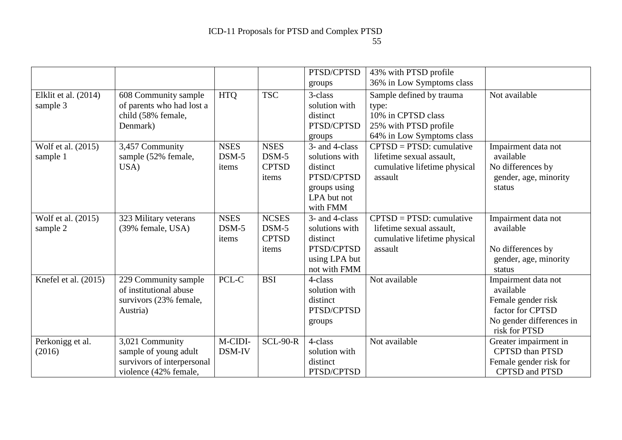|                      |                            |             |              | PTSD/CPTSD                  | 43% with PTSD profile        |                          |
|----------------------|----------------------------|-------------|--------------|-----------------------------|------------------------------|--------------------------|
|                      |                            |             |              | groups                      | 36% in Low Symptoms class    |                          |
| Elklit et al. (2014) | 608 Community sample       | <b>HTQ</b>  | <b>TSC</b>   | 3-class                     | Sample defined by trauma     | Not available            |
| sample 3             | of parents who had lost a  |             |              | solution with               | type:                        |                          |
|                      | child (58% female,         |             |              | distinct                    | 10% in CPTSD class           |                          |
|                      | Denmark)                   |             |              | PTSD/CPTSD                  | 25% with PTSD profile        |                          |
|                      |                            |             |              | groups                      | 64% in Low Symptoms class    |                          |
| Wolf et al. (2015)   | 3,457 Community            | <b>NSES</b> | <b>NSES</b>  | 3- and 4-class              | $CPTSD = PTSD$ : cumulative  | Impairment data not      |
| sample 1             | sample (52% female,        | DSM-5       | $DSM-5$      | solutions with              | lifetime sexual assault,     | available                |
|                      | USA)                       | items       | <b>CPTSD</b> | distinct                    | cumulative lifetime physical | No differences by        |
|                      |                            |             | items        | PTSD/CPTSD                  | assault                      | gender, age, minority    |
|                      |                            |             |              | groups using<br>LPA but not |                              | status                   |
|                      |                            |             |              | with FMM                    |                              |                          |
| Wolf et al. (2015)   | 323 Military veterans      | <b>NSES</b> | <b>NCSES</b> | 3- and 4-class              | $CPTSD = PTSD$ : cumulative  | Impairment data not      |
| sample 2             | (39% female, USA)          | DSM-5       | $DSM-5$      | solutions with              | lifetime sexual assault,     | available                |
|                      |                            | items       | <b>CPTSD</b> | distinct                    | cumulative lifetime physical |                          |
|                      |                            |             | items        | PTSD/CPTSD                  | assault                      | No differences by        |
|                      |                            |             |              | using LPA but               |                              | gender, age, minority    |
|                      |                            |             |              | not with FMM                |                              | status                   |
| Knefel et al. (2015) | 229 Community sample       | PCL-C       | <b>BSI</b>   | 4-class                     | Not available                | Impairment data not      |
|                      | of institutional abuse     |             |              | solution with               |                              | available                |
|                      | survivors (23% female,     |             |              | distinct                    |                              | Female gender risk       |
|                      | Austria)                   |             |              | PTSD/CPTSD                  |                              | factor for CPTSD         |
|                      |                            |             |              | groups                      |                              | No gender differences in |
|                      |                            |             |              |                             |                              | risk for PTSD            |
| Perkonigg et al.     | 3,021 Community            | M-CIDI-     | $SCL-90-R$   | 4-class                     | Not available                | Greater impairment in    |
| (2016)               | sample of young adult      | DSM-IV      |              | solution with               |                              | <b>CPTSD</b> than PTSD   |
|                      | survivors of interpersonal |             |              | distinct                    |                              | Female gender risk for   |
|                      | violence (42% female,      |             |              | PTSD/CPTSD                  |                              | <b>CPTSD</b> and PTSD    |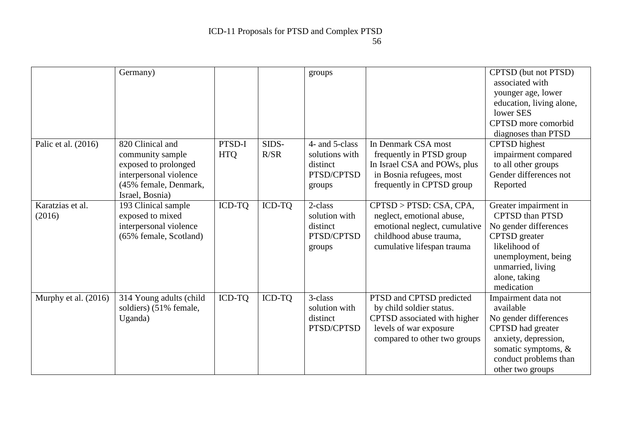|                            | Germany)                                                                                                                           |                      |               | groups                                                               |                                                                                                                                                | CPTSD (but not PTSD)<br>associated with<br>younger age, lower<br>education, living alone,<br>lower SES<br>CPTSD more comorbid<br>diagnoses than PTSD                                         |
|----------------------------|------------------------------------------------------------------------------------------------------------------------------------|----------------------|---------------|----------------------------------------------------------------------|------------------------------------------------------------------------------------------------------------------------------------------------|----------------------------------------------------------------------------------------------------------------------------------------------------------------------------------------------|
| Palic et al. (2016)        | 820 Clinical and<br>community sample<br>exposed to prolonged<br>interpersonal violence<br>(45% female, Denmark,<br>Israel, Bosnia) | PTSD-I<br><b>HTQ</b> | SIDS-<br>R/SR | 4- and 5-class<br>solutions with<br>distinct<br>PTSD/CPTSD<br>groups | In Denmark CSA most<br>frequently in PTSD group<br>In Israel CSA and POWs, plus<br>in Bosnia refugees, most<br>frequently in CPTSD group       | <b>CPTSD</b> highest<br>impairment compared<br>to all other groups<br>Gender differences not<br>Reported                                                                                     |
| Karatzias et al.<br>(2016) | 193 Clinical sample<br>exposed to mixed<br>interpersonal violence<br>(65% female, Scotland)                                        | ICD-TQ               | ICD-TQ        | 2-class<br>solution with<br>distinct<br>PTSD/CPTSD<br>groups         | CPTSD > PTSD: CSA, CPA,<br>neglect, emotional abuse,<br>emotional neglect, cumulative<br>childhood abuse trauma.<br>cumulative lifespan trauma | Greater impairment in<br><b>CPTSD</b> than PTSD<br>No gender differences<br><b>CPTSD</b> greater<br>likelihood of<br>unemployment, being<br>unmarried, living<br>alone, taking<br>medication |
| Murphy et al. $(2016)$     | 314 Young adults (child<br>soldiers) (51% female,<br>Uganda)                                                                       | ICD-TQ               | <b>ICD-TQ</b> | 3-class<br>solution with<br>distinct<br>PTSD/CPTSD                   | PTSD and CPTSD predicted<br>by child soldier status.<br>CPTSD associated with higher<br>levels of war exposure<br>compared to other two groups | Impairment data not<br>available<br>No gender differences<br>CPTSD had greater<br>anxiety, depression,<br>somatic symptoms, &<br>conduct problems than<br>other two groups                   |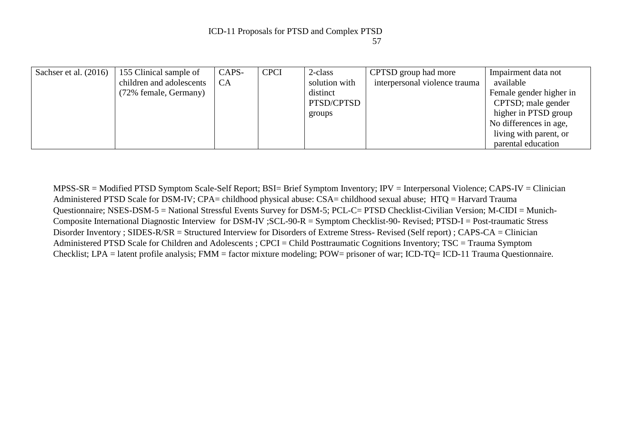| Sachser et al. (2016) | 155 Clinical sample of   | CAPS- | <b>CPCI</b> | 2-class       | CPTSD group had more          | Impairment data not     |
|-----------------------|--------------------------|-------|-------------|---------------|-------------------------------|-------------------------|
|                       | children and adolescents | CA    |             | solution with | interpersonal violence trauma | available               |
|                       | (72% female, Germany)    |       |             | distinct      |                               | Female gender higher in |
|                       |                          |       |             | PTSD/CPTSD    |                               | CPTSD; male gender      |
|                       |                          |       |             | groups        |                               | higher in PTSD group    |
|                       |                          |       |             |               |                               | No differences in age,  |
|                       |                          |       |             |               |                               | living with parent, or  |
|                       |                          |       |             |               |                               | parental education      |

MPSS-SR = Modified PTSD Symptom Scale-Self Report; BSI= Brief Symptom Inventory; IPV = Interpersonal Violence; CAPS-IV = Clinician Administered PTSD Scale for DSM-IV; CPA= childhood physical abuse: CSA= childhood sexual abuse; HTQ = Harvard Trauma Questionnaire; NSES-DSM-5 = National Stressful Events Survey for DSM-5; PCL-C= PTSD Checklist-Civilian Version; M-CIDI = Munich-Composite International Diagnostic Interview for DSM-IV ;SCL-90-R = Symptom Checklist-90- Revised; PTSD-I = Post-traumatic Stress Disorder Inventory ; SIDES-R/SR = Structured Interview for Disorders of Extreme Stress- Revised (Self report) ; CAPS-CA = Clinician Administered PTSD Scale for Children and Adolescents ; CPCI = Child Posttraumatic Cognitions Inventory; TSC = Trauma Symptom Checklist; LPA = latent profile analysis; FMM = factor mixture modeling; POW= prisoner of war; ICD-TQ= ICD-11 Trauma Questionnaire.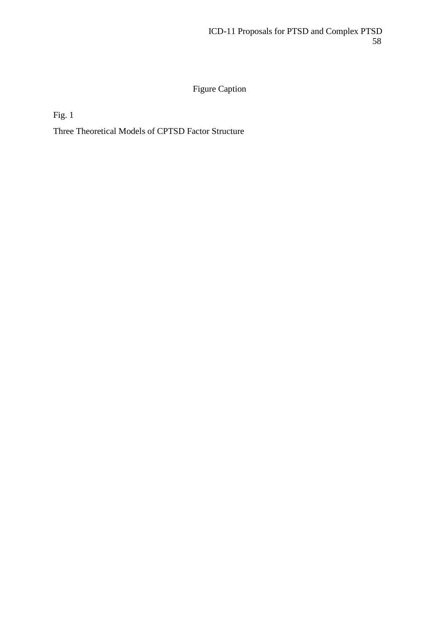Figure Caption

Fig. 1

Three Theoretical Models of CPTSD Factor Structure